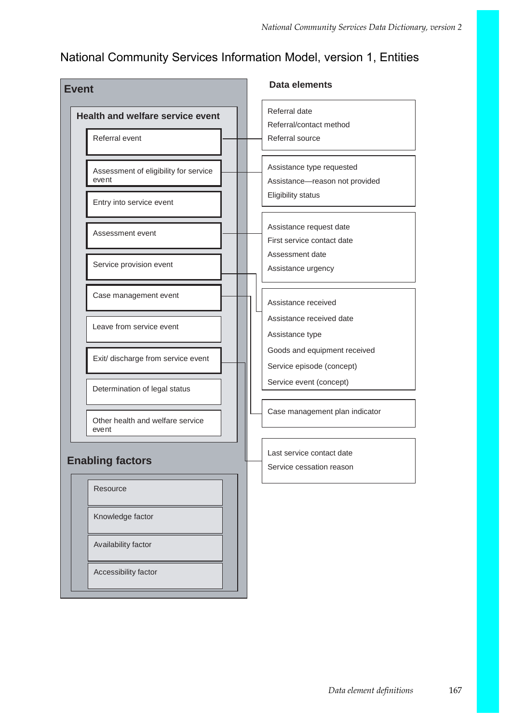## National Community Services Information Model, version 1, Entities

| <b>Event</b> |                                                                            | <b>Data elements</b> |                                                                                          |
|--------------|----------------------------------------------------------------------------|----------------------|------------------------------------------------------------------------------------------|
|              | <b>Health and welfare service event</b><br>Referral event                  |                      | Referral date<br>Referral/contact method<br>Referral source                              |
|              | Assessment of eligibility for service<br>event<br>Entry into service event |                      | Assistance type requested<br>Assistance-reason not provided<br><b>Eligibility status</b> |
|              | Assessment event                                                           |                      | Assistance request date<br>First service contact date<br>Assessment date                 |
|              | Service provision event                                                    |                      | Assistance urgency                                                                       |
|              | Case management event                                                      |                      | Assistance received<br>Assistance received date                                          |
|              | Leave from service event                                                   |                      | Assistance type<br>Goods and equipment received                                          |
|              | Exit/ discharge from service event                                         |                      | Service episode (concept)<br>Service event (concept)                                     |
|              | Determination of legal status                                              |                      | Case management plan indicator                                                           |
|              | Other health and welfare service<br>event                                  |                      |                                                                                          |
|              | <b>Enabling factors</b>                                                    |                      | Last service contact date<br>Service cessation reason                                    |
|              | Resource                                                                   |                      |                                                                                          |
|              | Knowledge factor                                                           |                      |                                                                                          |
|              | Availability factor<br>Accessibility factor                                |                      |                                                                                          |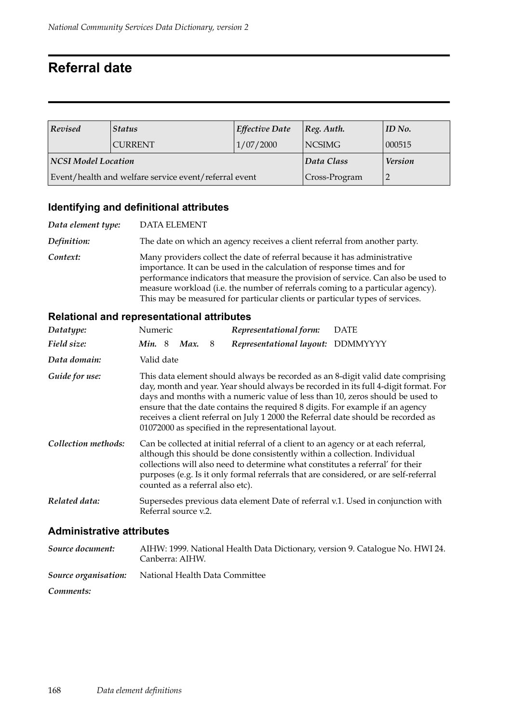## **Referral date**

| Revised             | <b>Status</b>                                         | <b>Effective Date</b> | $ Reg.$ Auth.  | ID No. |
|---------------------|-------------------------------------------------------|-----------------------|----------------|--------|
|                     | <b>CURRENT</b>                                        | 1/07/2000             | <b>NCSIMG</b>  | 000515 |
| NCSI Model Location |                                                       | Data Class            | <b>Version</b> |        |
|                     | Event/health and welfare service event/referral event | Cross-Program         |                |        |

### **Identifying and definitional attributes**

| Data element type: | <b>DATA ELEMENT</b>                                                                                                                                                                                                                                                                                                                                                                                         |
|--------------------|-------------------------------------------------------------------------------------------------------------------------------------------------------------------------------------------------------------------------------------------------------------------------------------------------------------------------------------------------------------------------------------------------------------|
| Definition:        | The date on which an agency receives a client referral from another party.                                                                                                                                                                                                                                                                                                                                  |
| Context:           | Many providers collect the date of referral because it has administrative<br>importance. It can be used in the calculation of response times and for<br>performance indicators that measure the provision of service. Can also be used to<br>measure workload (i.e. the number of referrals coming to a particular agency).<br>This may be measured for particular clients or particular types of services. |

#### **Relational and representational attributes**

| Datatype:                                                                                                                                                                                                                                                                                                                                                                                            | Numeric                                                                                                                                                                                                                                                                                                                                                                                                                                                                                |  |                      |   | Representational form:            | <b>DATE</b>                                                                     |  |
|------------------------------------------------------------------------------------------------------------------------------------------------------------------------------------------------------------------------------------------------------------------------------------------------------------------------------------------------------------------------------------------------------|----------------------------------------------------------------------------------------------------------------------------------------------------------------------------------------------------------------------------------------------------------------------------------------------------------------------------------------------------------------------------------------------------------------------------------------------------------------------------------------|--|----------------------|---|-----------------------------------|---------------------------------------------------------------------------------|--|
| Field size:                                                                                                                                                                                                                                                                                                                                                                                          | <b>Min.</b> 8                                                                                                                                                                                                                                                                                                                                                                                                                                                                          |  | Max.                 | 8 | Representational layout: DDMMYYYY |                                                                                 |  |
| Data domain:                                                                                                                                                                                                                                                                                                                                                                                         | Valid date                                                                                                                                                                                                                                                                                                                                                                                                                                                                             |  |                      |   |                                   |                                                                                 |  |
| Guide for use:                                                                                                                                                                                                                                                                                                                                                                                       | This data element should always be recorded as an 8-digit valid date comprising<br>day, month and year. Year should always be recorded in its full 4-digit format. For<br>days and months with a numeric value of less than 10, zeros should be used to<br>ensure that the date contains the required 8 digits. For example if an agency<br>receives a client referral on July 1 2000 the Referral date should be recorded as<br>01072000 as specified in the representational layout. |  |                      |   |                                   |                                                                                 |  |
| Collection methods:<br>Can be collected at initial referral of a client to an agency or at each referral,<br>although this should be done consistently within a collection. Individual<br>collections will also need to determine what constitutes a referral' for their<br>purposes (e.g. Is it only formal referrals that are considered, or are self-referral<br>counted as a referral also etc). |                                                                                                                                                                                                                                                                                                                                                                                                                                                                                        |  |                      |   |                                   |                                                                                 |  |
| Related data:                                                                                                                                                                                                                                                                                                                                                                                        |                                                                                                                                                                                                                                                                                                                                                                                                                                                                                        |  | Referral source v.2. |   |                                   | Supersedes previous data element Date of referral v.1. Used in conjunction with |  |
| <b>Administrative attributes</b>                                                                                                                                                                                                                                                                                                                                                                     |                                                                                                                                                                                                                                                                                                                                                                                                                                                                                        |  |                      |   |                                   |                                                                                 |  |

## *Source document:* AIHW: 1999. National Health Data Dictionary, version 9. Catalogue No. HWI 24. Canberra: AIHW. *Source organisation:* National Health Data Committee *Comments:*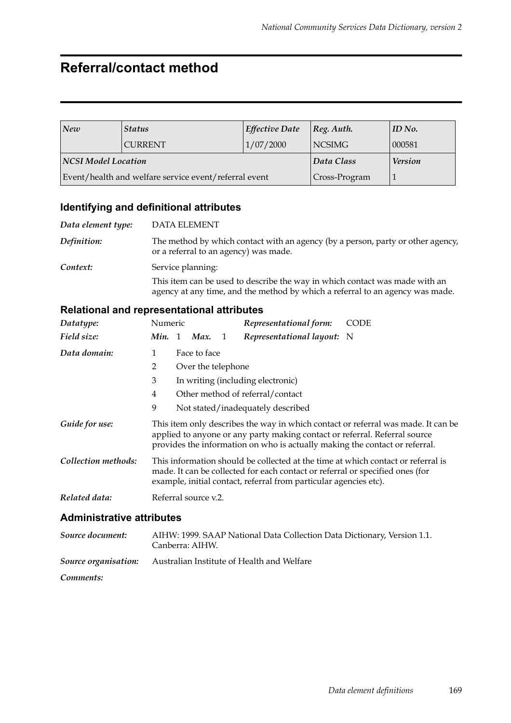## **Referral/contact method**

| New                        | <i><b>Status</b></i>                                  | <b>Effective Date</b> | $ Reg.$ Auth.  | ID No. |
|----------------------------|-------------------------------------------------------|-----------------------|----------------|--------|
|                            | <b>CURRENT</b>                                        | 1/07/2000             | NCSIMG         | 000581 |
| <b>NCSI Model Location</b> |                                                       | Data Class            | <b>Version</b> |        |
|                            | Event/health and welfare service event/referral event | Cross-Program         |                |        |

## **Identifying and definitional attributes**

| Data element type: | <b>DATA ELEMENT</b>                                                                                                                                          |
|--------------------|--------------------------------------------------------------------------------------------------------------------------------------------------------------|
| Definition:        | The method by which contact with an agency (by a person, party or other agency,<br>or a referral to an agency) was made.                                     |
| Context:           | Service planning:                                                                                                                                            |
|                    | This item can be used to describe the way in which contact was made with an<br>agency at any time, and the method by which a referral to an agency was made. |

| Datatype:                        | Numeric                                                                                                                                                                                                                                        |  |                                             |                | Representational form:            | <b>CODE</b> |  |  |
|----------------------------------|------------------------------------------------------------------------------------------------------------------------------------------------------------------------------------------------------------------------------------------------|--|---------------------------------------------|----------------|-----------------------------------|-------------|--|--|
| Field size:                      |                                                                                                                                                                                                                                                |  | Min. 1 Max.                                 | $\overline{1}$ | Representational layout: N        |             |  |  |
| Data domain:                     | 1                                                                                                                                                                                                                                              |  | Face to face                                |                |                                   |             |  |  |
|                                  | 2                                                                                                                                                                                                                                              |  | Over the telephone                          |                |                                   |             |  |  |
|                                  | 3                                                                                                                                                                                                                                              |  |                                             |                | In writing (including electronic) |             |  |  |
|                                  | 4                                                                                                                                                                                                                                              |  |                                             |                | Other method of referral/contact  |             |  |  |
|                                  | 9                                                                                                                                                                                                                                              |  |                                             |                | Not stated/inadequately described |             |  |  |
| Guide for use:                   | This item only describes the way in which contact or referral was made. It can be<br>applied to anyone or any party making contact or referral. Referral source<br>provides the information on who is actually making the contact or referral. |  |                                             |                |                                   |             |  |  |
| Collection methods:              | This information should be collected at the time at which contact or referral is<br>made. It can be collected for each contact or referral or specified ones (for<br>example, initial contact, referral from particular agencies etc).         |  |                                             |                |                                   |             |  |  |
| Related data:                    |                                                                                                                                                                                                                                                |  | Referral source v.2.                        |                |                                   |             |  |  |
| <b>Administrative attributes</b> |                                                                                                                                                                                                                                                |  |                                             |                |                                   |             |  |  |
|                                  |                                                                                                                                                                                                                                                |  | $\lambda$ IT ITAT 4000 O A A D $\lambda$ I. |                |                                   |             |  |  |

| Source document: | AIHW: 1999. SAAP National Data Collection Data Dictionary, Version 1.1.<br>Canberra: AIHW. |
|------------------|--------------------------------------------------------------------------------------------|
|                  | <b>Source organisation:</b> Australian Institute of Health and Welfare                     |
| Comments:        |                                                                                            |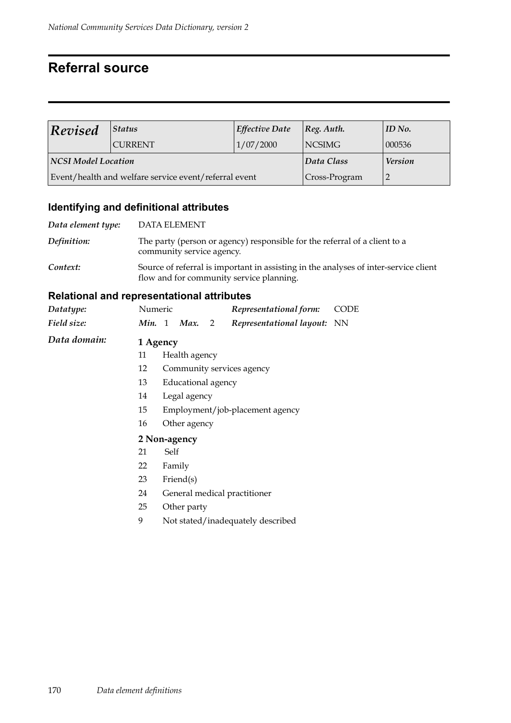## **Referral source**

| Revised             | Status                                                | <b>Effective Date</b> | [Reg. Author.  | $ID$ No. |
|---------------------|-------------------------------------------------------|-----------------------|----------------|----------|
|                     | <b>CURRENT</b>                                        | 1/07/2000             | <b>NCSIMG</b>  | 000536   |
| NCSI Model Location |                                                       | Data Class            | <b>Version</b> |          |
|                     | Event/health and welfare service event/referral event | Cross-Program         |                |          |

## **Identifying and definitional attributes**

| Data element type: | <b>DATA ELEMENT</b>                                                                                                              |
|--------------------|----------------------------------------------------------------------------------------------------------------------------------|
| Definition:        | The party (person or agency) responsible for the referral of a client to a<br>community service agency.                          |
| Context:           | Source of referral is important in assisting in the analyses of inter-service client<br>flow and for community service planning. |

| Datatype:          | Numeric            |                                 |                    |   | Representational form:            | CODE |  |  |  |
|--------------------|--------------------|---------------------------------|--------------------|---|-----------------------------------|------|--|--|--|
| Field size:        | Min. 1             |                                 | Max.               | 2 | Representational layout: NN       |      |  |  |  |
| Data domain:       | 1 Agency           |                                 |                    |   |                                   |      |  |  |  |
|                    | 11                 |                                 | Health agency      |   |                                   |      |  |  |  |
|                    | 12                 |                                 |                    |   | Community services agency         |      |  |  |  |
|                    | 13                 |                                 | Educational agency |   |                                   |      |  |  |  |
|                    | 14<br>Legal agency |                                 |                    |   |                                   |      |  |  |  |
|                    | 15                 | Employment/job-placement agency |                    |   |                                   |      |  |  |  |
| 16<br>Other agency |                    |                                 |                    |   |                                   |      |  |  |  |
|                    | 2 Non-agency       |                                 |                    |   |                                   |      |  |  |  |
|                    | 21                 | Self                            |                    |   |                                   |      |  |  |  |
|                    | 22                 | Family                          |                    |   |                                   |      |  |  |  |
|                    | 23                 |                                 | $\text{Friend}(s)$ |   |                                   |      |  |  |  |
|                    | 24                 |                                 |                    |   | General medical practitioner      |      |  |  |  |
|                    | 25                 |                                 | Other party        |   |                                   |      |  |  |  |
|                    | 9                  |                                 |                    |   | Not stated/inadequately described |      |  |  |  |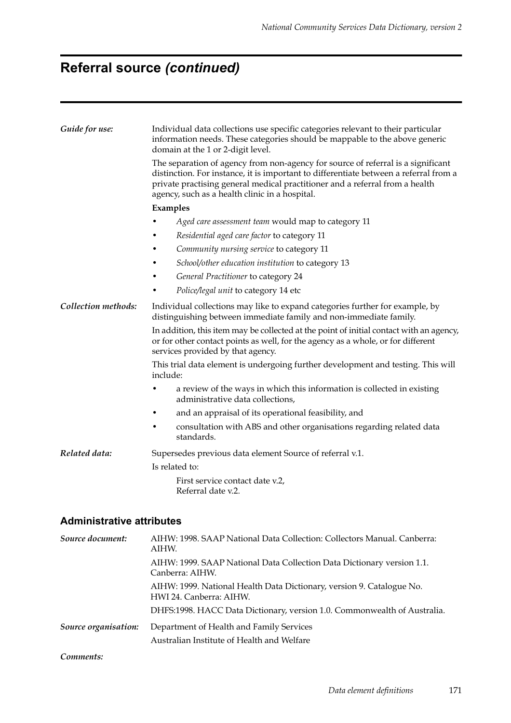# **Referral source** *(continued)*

| Guide for use:      | Individual data collections use specific categories relevant to their particular<br>information needs. These categories should be mappable to the above generic<br>domain at the 1 or 2-digit level.                                                                                                        |  |  |  |  |  |  |
|---------------------|-------------------------------------------------------------------------------------------------------------------------------------------------------------------------------------------------------------------------------------------------------------------------------------------------------------|--|--|--|--|--|--|
|                     | The separation of agency from non-agency for source of referral is a significant<br>distinction. For instance, it is important to differentiate between a referral from a<br>private practising general medical practitioner and a referral from a health<br>agency, such as a health clinic in a hospital. |  |  |  |  |  |  |
|                     | Examples                                                                                                                                                                                                                                                                                                    |  |  |  |  |  |  |
|                     | Aged care assessment team would map to category 11                                                                                                                                                                                                                                                          |  |  |  |  |  |  |
|                     | Residential aged care factor to category 11                                                                                                                                                                                                                                                                 |  |  |  |  |  |  |
|                     | Community nursing service to category 11                                                                                                                                                                                                                                                                    |  |  |  |  |  |  |
|                     | School/other education institution to category 13                                                                                                                                                                                                                                                           |  |  |  |  |  |  |
|                     | General Practitioner to category 24                                                                                                                                                                                                                                                                         |  |  |  |  |  |  |
|                     | Police/legal unit to category 14 etc                                                                                                                                                                                                                                                                        |  |  |  |  |  |  |
| Collection methods: | Individual collections may like to expand categories further for example, by<br>distinguishing between immediate family and non-immediate family.                                                                                                                                                           |  |  |  |  |  |  |
|                     | In addition, this item may be collected at the point of initial contact with an agency,<br>or for other contact points as well, for the agency as a whole, or for different<br>services provided by that agency.                                                                                            |  |  |  |  |  |  |
|                     | This trial data element is undergoing further development and testing. This will<br>include:                                                                                                                                                                                                                |  |  |  |  |  |  |
|                     | a review of the ways in which this information is collected in existing<br>administrative data collections,                                                                                                                                                                                                 |  |  |  |  |  |  |
|                     | and an appraisal of its operational feasibility, and<br>٠                                                                                                                                                                                                                                                   |  |  |  |  |  |  |
|                     | consultation with ABS and other organisations regarding related data<br>standards.                                                                                                                                                                                                                          |  |  |  |  |  |  |
| Related data:       | Supersedes previous data element Source of referral v.1.                                                                                                                                                                                                                                                    |  |  |  |  |  |  |
|                     | Is related to:                                                                                                                                                                                                                                                                                              |  |  |  |  |  |  |
|                     | First service contact date v.2,<br>Referral date v.2.                                                                                                                                                                                                                                                       |  |  |  |  |  |  |

| Source document:     | AIHW: 1998. SAAP National Data Collection: Collectors Manual. Canberra:<br>AIHW.                 |
|----------------------|--------------------------------------------------------------------------------------------------|
|                      | AIHW: 1999. SAAP National Data Collection Data Dictionary version 1.1.<br>Canberra: AIHW.        |
|                      | AIHW: 1999. National Health Data Dictionary, version 9. Catalogue No.<br>HWI 24. Canberra: AIHW. |
|                      | DHFS:1998. HACC Data Dictionary, version 1.0. Commonwealth of Australia.                         |
| Source organisation: | Department of Health and Family Services                                                         |
|                      | Australian Institute of Health and Welfare                                                       |
| Comments:            |                                                                                                  |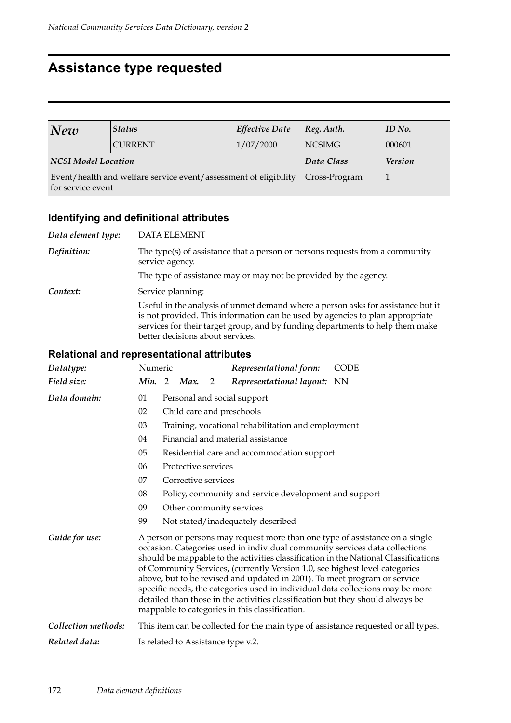## **Assistance type requested**

| New                 | <b>Status</b>                                                    | <b>Effective Date</b> | [Reg. Author.  | ID No. |
|---------------------|------------------------------------------------------------------|-----------------------|----------------|--------|
|                     | <b>CURRENT</b>                                                   | 1/07/2000             | <b>NCSIMG</b>  | 000601 |
| NCSI Model Location |                                                                  | Data Class            | <b>Version</b> |        |
| for service event   | Event/health and welfare service event/assessment of eligibility | Cross-Program         |                |        |

## **Identifying and definitional attributes**

| Data element type: | <b>DATA ELEMENT</b>                                                                                                                                                                                                                                                                    |
|--------------------|----------------------------------------------------------------------------------------------------------------------------------------------------------------------------------------------------------------------------------------------------------------------------------------|
| Definition:        | The type(s) of assistance that a person or persons requests from a community<br>service agency.                                                                                                                                                                                        |
|                    | The type of assistance may or may not be provided by the agency.                                                                                                                                                                                                                       |
| Context:           | Service planning:                                                                                                                                                                                                                                                                      |
|                    | Useful in the analysis of unmet demand where a person asks for assistance but it<br>is not provided. This information can be used by agencies to plan appropriate<br>services for their target group, and by funding departments to help them make<br>better decisions about services. |

| Datatype:           | Numeric |                                                       |                     |   | Representational form:                                                                                                                                                                                                                                                                                                                                                                                                                                                                                                                        | <b>CODE</b>                                                                         |  |
|---------------------|---------|-------------------------------------------------------|---------------------|---|-----------------------------------------------------------------------------------------------------------------------------------------------------------------------------------------------------------------------------------------------------------------------------------------------------------------------------------------------------------------------------------------------------------------------------------------------------------------------------------------------------------------------------------------------|-------------------------------------------------------------------------------------|--|
| Field size:         | Min. 2  |                                                       | Max.                | 2 | Representational layout: NN                                                                                                                                                                                                                                                                                                                                                                                                                                                                                                                   |                                                                                     |  |
| Data domain:        | 01      | Personal and social support                           |                     |   |                                                                                                                                                                                                                                                                                                                                                                                                                                                                                                                                               |                                                                                     |  |
|                     | 02      |                                                       |                     |   | Child care and preschools                                                                                                                                                                                                                                                                                                                                                                                                                                                                                                                     |                                                                                     |  |
|                     | 03      | Training, vocational rehabilitation and employment    |                     |   |                                                                                                                                                                                                                                                                                                                                                                                                                                                                                                                                               |                                                                                     |  |
|                     | 04      |                                                       |                     |   | Financial and material assistance                                                                                                                                                                                                                                                                                                                                                                                                                                                                                                             |                                                                                     |  |
|                     | 05      |                                                       |                     |   | Residential care and accommodation support                                                                                                                                                                                                                                                                                                                                                                                                                                                                                                    |                                                                                     |  |
|                     | 06      |                                                       | Protective services |   |                                                                                                                                                                                                                                                                                                                                                                                                                                                                                                                                               |                                                                                     |  |
|                     | 07      |                                                       | Corrective services |   |                                                                                                                                                                                                                                                                                                                                                                                                                                                                                                                                               |                                                                                     |  |
|                     | 08      | Policy, community and service development and support |                     |   |                                                                                                                                                                                                                                                                                                                                                                                                                                                                                                                                               |                                                                                     |  |
|                     | 09      |                                                       |                     |   | Other community services                                                                                                                                                                                                                                                                                                                                                                                                                                                                                                                      |                                                                                     |  |
|                     | 99      |                                                       |                     |   | Not stated/inadequately described                                                                                                                                                                                                                                                                                                                                                                                                                                                                                                             |                                                                                     |  |
| Guide for use:      |         |                                                       |                     |   | A person or persons may request more than one type of assistance on a single<br>occasion. Categories used in individual community services data collections<br>of Community Services, (currently Version 1.0, see highest level categories<br>above, but to be revised and updated in 2001). To meet program or service<br>specific needs, the categories used in individual data collections may be more<br>detailed than those in the activities classification but they should always be<br>mappable to categories in this classification. | should be mappable to the activities classification in the National Classifications |  |
| Collection methods: |         |                                                       |                     |   |                                                                                                                                                                                                                                                                                                                                                                                                                                                                                                                                               | This item can be collected for the main type of assistance requested or all types.  |  |
| Related data:       |         |                                                       |                     |   | Is related to Assistance type v.2.                                                                                                                                                                                                                                                                                                                                                                                                                                                                                                            |                                                                                     |  |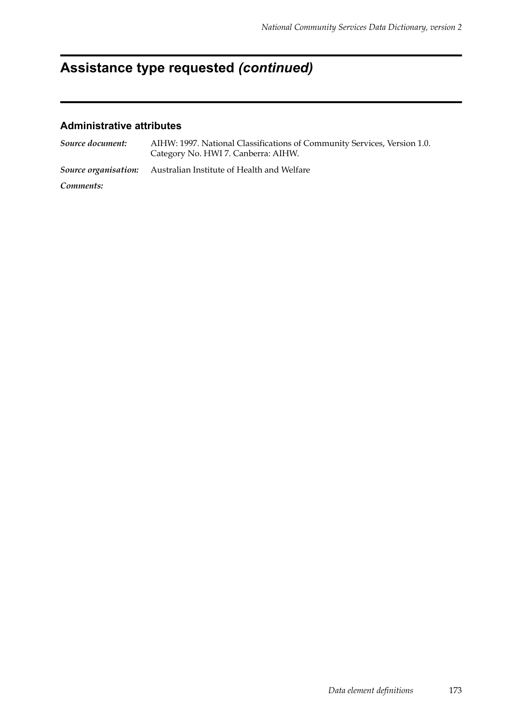# **Assistance type requested** *(continued)*

| Source document: | AIHW: 1997. National Classifications of Community Services, Version 1.0.<br>Category No. HWI 7. Canberra: AIHW. |
|------------------|-----------------------------------------------------------------------------------------------------------------|
|                  | Source organisation: Australian Institute of Health and Welfare                                                 |
| Comments:        |                                                                                                                 |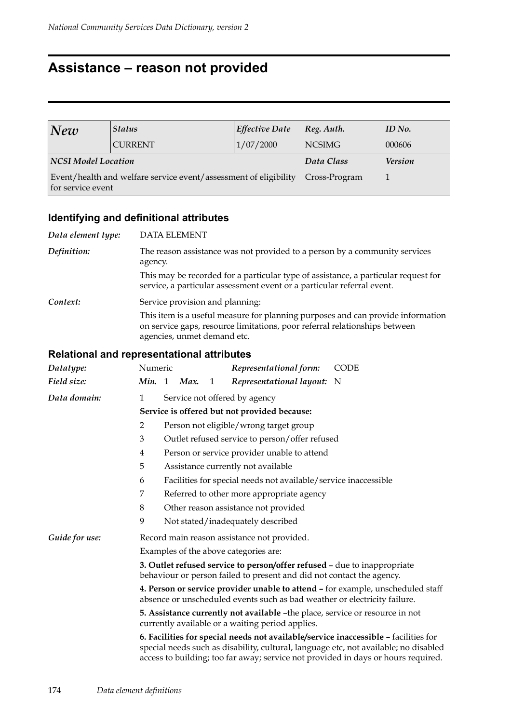## **Assistance – reason not provided**

| New                 | <b>Status</b>                                                    | <b>Effective Date</b> | [Reg. Author.  | $ID$ No. |
|---------------------|------------------------------------------------------------------|-----------------------|----------------|----------|
|                     | <b>CURRENT</b>                                                   | 1/07/2000             | <b>NCSIMG</b>  | 000606   |
| NCSI Model Location |                                                                  | Data Class            | <b>Version</b> |          |
| for service event   | Event/health and welfare service event/assessment of eligibility | Cross-Program         |                |          |

## **Identifying and definitional attributes**

| <b>DATA ELEMENT</b>                                                                                                                                                                          |
|----------------------------------------------------------------------------------------------------------------------------------------------------------------------------------------------|
| The reason assistance was not provided to a person by a community services<br>agency.                                                                                                        |
| This may be recorded for a particular type of assistance, a particular request for<br>service, a particular assessment event or a particular referral event.                                 |
| Service provision and planning:                                                                                                                                                              |
| This item is a useful measure for planning purposes and can provide information<br>on service gaps, resource limitations, poor referral relationships between<br>agencies, unmet demand etc. |
|                                                                                                                                                                                              |

| Datatype:      | Numeric                                                                                                                                                      |  |      |   | Representational form:                                          | <b>CODE</b>                                                                                                                                                                                                                                                      |  |
|----------------|--------------------------------------------------------------------------------------------------------------------------------------------------------------|--|------|---|-----------------------------------------------------------------|------------------------------------------------------------------------------------------------------------------------------------------------------------------------------------------------------------------------------------------------------------------|--|
| Field size:    | Min. 1                                                                                                                                                       |  | Max. | 1 | Representational layout: N                                      |                                                                                                                                                                                                                                                                  |  |
| Data domain:   | $\mathbf{1}$                                                                                                                                                 |  |      |   | Service not offered by agency                                   |                                                                                                                                                                                                                                                                  |  |
|                | Service is offered but not provided because:                                                                                                                 |  |      |   |                                                                 |                                                                                                                                                                                                                                                                  |  |
|                | 2                                                                                                                                                            |  |      |   | Person not eligible/wrong target group                          |                                                                                                                                                                                                                                                                  |  |
|                | 3                                                                                                                                                            |  |      |   | Outlet refused service to person/offer refused                  |                                                                                                                                                                                                                                                                  |  |
|                | 4                                                                                                                                                            |  |      |   | Person or service provider unable to attend                     |                                                                                                                                                                                                                                                                  |  |
|                | 5                                                                                                                                                            |  |      |   | Assistance currently not available                              |                                                                                                                                                                                                                                                                  |  |
|                | 6                                                                                                                                                            |  |      |   | Facilities for special needs not available/service inaccessible |                                                                                                                                                                                                                                                                  |  |
|                | 7<br>Referred to other more appropriate agency                                                                                                               |  |      |   |                                                                 |                                                                                                                                                                                                                                                                  |  |
|                | 8<br>Other reason assistance not provided                                                                                                                    |  |      |   |                                                                 |                                                                                                                                                                                                                                                                  |  |
|                | 9                                                                                                                                                            |  |      |   | Not stated/inadequately described                               |                                                                                                                                                                                                                                                                  |  |
| Guide for use: | Record main reason assistance not provided.                                                                                                                  |  |      |   |                                                                 |                                                                                                                                                                                                                                                                  |  |
|                | Examples of the above categories are:                                                                                                                        |  |      |   |                                                                 |                                                                                                                                                                                                                                                                  |  |
|                | 3. Outlet refused service to person/offer refused - due to inappropriate<br>behaviour or person failed to present and did not contact the agency.            |  |      |   |                                                                 |                                                                                                                                                                                                                                                                  |  |
|                | 4. Person or service provider unable to attend - for example, unscheduled staff<br>absence or unscheduled events such as bad weather or electricity failure. |  |      |   |                                                                 |                                                                                                                                                                                                                                                                  |  |
|                | 5. Assistance currently not available -the place, service or resource in not<br>currently available or a waiting period applies.                             |  |      |   |                                                                 |                                                                                                                                                                                                                                                                  |  |
|                |                                                                                                                                                              |  |      |   |                                                                 | 6. Facilities for special needs not available/service inaccessible - facilities for<br>special needs such as disability, cultural, language etc, not available; no disabled<br>access to building; too far away; service not provided in days or hours required. |  |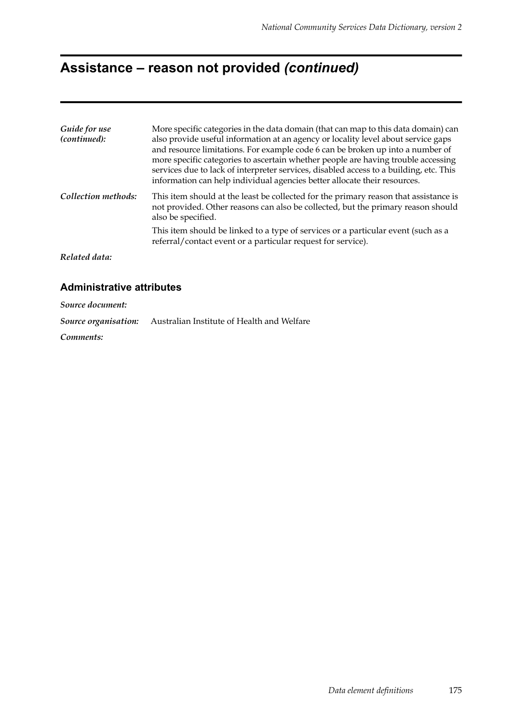## **Assistance – reason not provided** *(continued)*

| Guide for use<br>(continued): | More specific categories in the data domain (that can map to this data domain) can<br>also provide useful information at an agency or locality level about service gaps<br>and resource limitations. For example code 6 can be broken up into a number of<br>more specific categories to ascertain whether people are having trouble accessing<br>services due to lack of interpreter services, disabled access to a building, etc. This<br>information can help individual agencies better allocate their resources. |
|-------------------------------|-----------------------------------------------------------------------------------------------------------------------------------------------------------------------------------------------------------------------------------------------------------------------------------------------------------------------------------------------------------------------------------------------------------------------------------------------------------------------------------------------------------------------|
| Collection methods:           | This item should at the least be collected for the primary reason that assistance is<br>not provided. Other reasons can also be collected, but the primary reason should<br>also be specified.                                                                                                                                                                                                                                                                                                                        |
|                               | This item should be linked to a type of services or a particular event (such as a<br>referral/contact event or a particular request for service).                                                                                                                                                                                                                                                                                                                                                                     |
| Related data:                 |                                                                                                                                                                                                                                                                                                                                                                                                                                                                                                                       |

#### **Administrative attributes**

*Source document: Source organisation:* Australian Institute of Health and Welfare

*Comments:*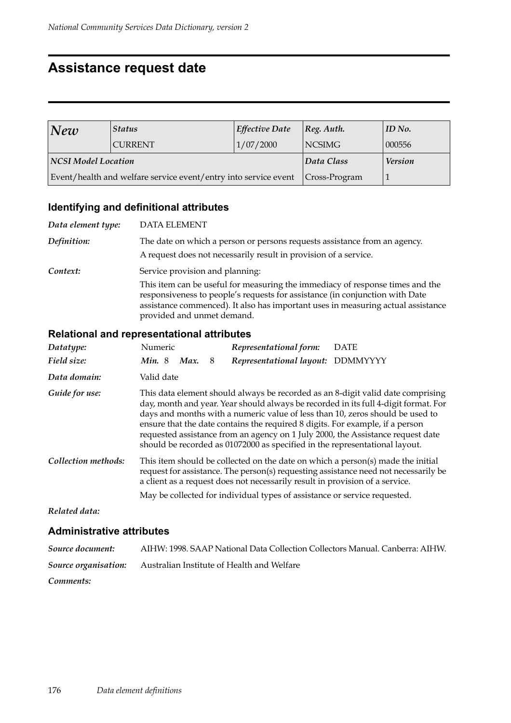## **Assistance request date**

| New                 | <b>Status</b>                                                   | <b>Effective Date</b> | [Reg. Author.  | $ID$ No. |
|---------------------|-----------------------------------------------------------------|-----------------------|----------------|----------|
|                     | <b>CURRENT</b>                                                  | 1/07/2000             | <b>NCSIMG</b>  | 000556   |
| NCSI Model Location |                                                                 | Data Class            | <b>Version</b> |          |
|                     | Event/health and welfare service event/entry into service event | $ Cross-Program $     |                |          |

## **Identifying and definitional attributes**

| Data element type: | <b>DATA ELEMENT</b>                                                                                                                                                                                                                                                                                                |
|--------------------|--------------------------------------------------------------------------------------------------------------------------------------------------------------------------------------------------------------------------------------------------------------------------------------------------------------------|
| Definition:        | The date on which a person or persons requests assistance from an agency.<br>A request does not necessarily result in provision of a service.                                                                                                                                                                      |
| Context:           | Service provision and planning:<br>This item can be useful for measuring the immediacy of response times and the<br>responsiveness to people's requests for assistance (in conjunction with Date<br>assistance commenced). It also has important uses in measuring actual assistance<br>provided and unmet demand. |

#### **Relational and representational attributes**

| Datatype:           | Numeric       | Representational form:                                                                                                                                                                                                                                                                                                                                                                                                                                                                                     | <b>DATE</b> |
|---------------------|---------------|------------------------------------------------------------------------------------------------------------------------------------------------------------------------------------------------------------------------------------------------------------------------------------------------------------------------------------------------------------------------------------------------------------------------------------------------------------------------------------------------------------|-------------|
| Field size:         | Min.8<br>Max. | Representational layout: DDMMYYYY<br>8                                                                                                                                                                                                                                                                                                                                                                                                                                                                     |             |
| Data domain:        | Valid date    |                                                                                                                                                                                                                                                                                                                                                                                                                                                                                                            |             |
| Guide for use:      |               | This data element should always be recorded as an 8-digit valid date comprising<br>day, month and year. Year should always be recorded in its full 4-digit format. For<br>days and months with a numeric value of less than 10, zeros should be used to<br>ensure that the date contains the required 8 digits. For example, if a person<br>requested assistance from an agency on 1 July 2000, the Assistance request date<br>should be recorded as 01072000 as specified in the representational layout. |             |
| Collection methods: |               | This item should be collected on the date on which a person(s) made the initial<br>request for assistance. The person(s) requesting assistance need not necessarily be<br>a client as a request does not necessarily result in provision of a service.<br>May be collected for individual types of assistance or service requested.                                                                                                                                                                        |             |
| Related data:       |               |                                                                                                                                                                                                                                                                                                                                                                                                                                                                                                            |             |

| Source document:     | AIHW: 1998. SAAP National Data Collection Collectors Manual. Canberra: AIHW. |
|----------------------|------------------------------------------------------------------------------|
| Source organisation: | Australian Institute of Health and Welfare                                   |
| Comments:            |                                                                              |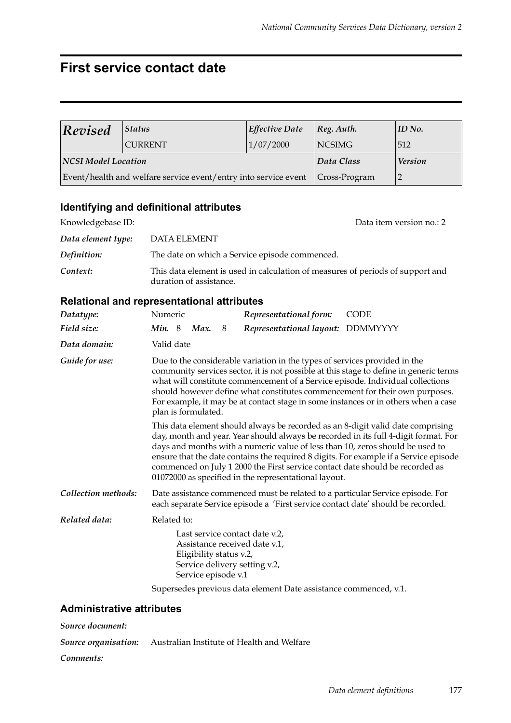## **First service contact date**

| Revised                    | <b>Status</b>                                                   | <b>Effective Date</b> | $ Reg.$ Auth.    | ID No. |
|----------------------------|-----------------------------------------------------------------|-----------------------|------------------|--------|
|                            | <b>CURRENT</b>                                                  | 1/07/2000             | <b>NCSIMG</b>    | 512    |
| <b>NCSI Model Location</b> |                                                                 | Data Class            | <b>Version</b>   |        |
|                            | Event/health and welfare service event/entry into service event |                       | $ Cross-Program$ |        |

### **Identifying and definitional attributes**

| Knowledgebase ID:  | Data item version no.: 2                                                                                  |
|--------------------|-----------------------------------------------------------------------------------------------------------|
| Data element type: | DATA ELEMENT                                                                                              |
| Definition:        | The date on which a Service episode commenced.                                                            |
| Context:           | This data element is used in calculation of measures of periods of support and<br>duration of assistance. |

#### **Relational and representational attributes**

| Datatype:                                                        | Numeric                                                                                                                                                                                                                                                                                                                                                                                                                                                                                    |            |             |   | Representational form:            | <b>CODE</b> |  |  |  |
|------------------------------------------------------------------|--------------------------------------------------------------------------------------------------------------------------------------------------------------------------------------------------------------------------------------------------------------------------------------------------------------------------------------------------------------------------------------------------------------------------------------------------------------------------------------------|------------|-------------|---|-----------------------------------|-------------|--|--|--|
| Field size:                                                      |                                                                                                                                                                                                                                                                                                                                                                                                                                                                                            |            | Min. 8 Max. | 8 | Representational layout: DDMMYYYY |             |  |  |  |
| Data domain:                                                     |                                                                                                                                                                                                                                                                                                                                                                                                                                                                                            | Valid date |             |   |                                   |             |  |  |  |
| Guide for use:                                                   | Due to the considerable variation in the types of services provided in the<br>community services sector, it is not possible at this stage to define in generic terms<br>what will constitute commencement of a Service episode. Individual collections<br>should however define what constitutes commencement for their own purposes.<br>For example, it may be at contact stage in some instances or in others when a case<br>plan is formulated.                                         |            |             |   |                                   |             |  |  |  |
|                                                                  | This data element should always be recorded as an 8-digit valid date comprising<br>day, month and year. Year should always be recorded in its full 4-digit format. For<br>days and months with a numeric value of less than 10, zeros should be used to<br>ensure that the date contains the required 8 digits. For example if a Service episode<br>commenced on July 1 2000 the First service contact date should be recorded as<br>01072000 as specified in the representational layout. |            |             |   |                                   |             |  |  |  |
| Collection methods:                                              | Date assistance commenced must be related to a particular Service episode. For<br>each separate Service episode a 'First service contact date' should be recorded.                                                                                                                                                                                                                                                                                                                         |            |             |   |                                   |             |  |  |  |
| Related data:                                                    | Related to:                                                                                                                                                                                                                                                                                                                                                                                                                                                                                |            |             |   |                                   |             |  |  |  |
|                                                                  | Last service contact date v.2.<br>Assistance received date v.1,<br>Eligibility status v.2,<br>Service delivery setting v.2,<br>Service episode v.1                                                                                                                                                                                                                                                                                                                                         |            |             |   |                                   |             |  |  |  |
| Supersedes previous data element Date assistance commenced, v.1. |                                                                                                                                                                                                                                                                                                                                                                                                                                                                                            |            |             |   |                                   |             |  |  |  |

#### **Administrative attributes**

*Source document: Source organisation:* Australian Institute of Health and Welfare

*Comments:*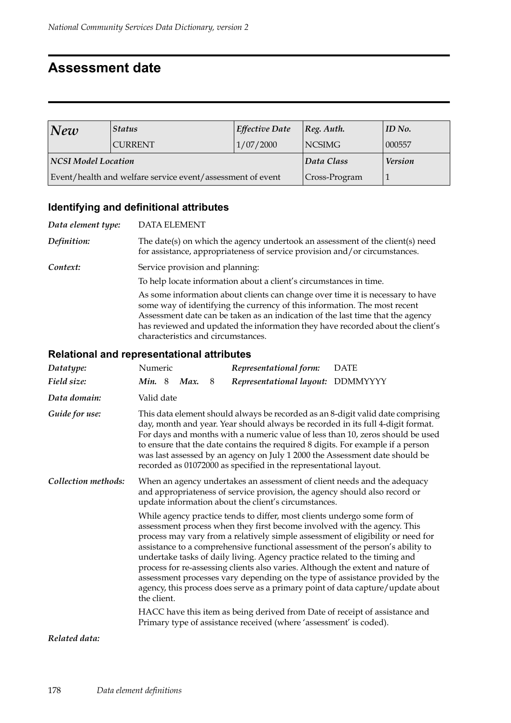## **Assessment date**

| New                 | <b>Status</b>                                              | <b>Effective Date</b> | $ Reg.$ Auth.  | $ID$ No. |
|---------------------|------------------------------------------------------------|-----------------------|----------------|----------|
|                     | <b>CURRENT</b>                                             | 1/07/2000             | <b>NCSIMG</b>  | 000557   |
| NCSI Model Location |                                                            | Data Class            | <b>Version</b> |          |
|                     | Event/health and welfare service event/assessment of event | Cross-Program         |                |          |

#### **Identifying and definitional attributes**

*Data element type:* DATA ELEMENT *Definition:* The date(s) on which the agency undertook an assessment of the client(s) need for assistance, appropriateness of service provision and/or circumstances. **Context:** Service provision and planning: To help locate information about a client's circumstances in time. As some information about clients can change over time it is necessary to have some way of identifying the currency of this information. The most recent Assessment date can be taken as an indication of the last time that the agency has reviewed and updated the information they have recorded about the client's characteristics and circumstances.

#### **Relational and representational attributes**

| Datatype:           | Numeric                                                                                                                                                                                                                                                                                                                                                                                                                                                                                                                                                                                                                                                                       |   | Representational form:                                                                                                                            | <b>DATE</b> |  |  |  |
|---------------------|-------------------------------------------------------------------------------------------------------------------------------------------------------------------------------------------------------------------------------------------------------------------------------------------------------------------------------------------------------------------------------------------------------------------------------------------------------------------------------------------------------------------------------------------------------------------------------------------------------------------------------------------------------------------------------|---|---------------------------------------------------------------------------------------------------------------------------------------------------|-------------|--|--|--|
| Field size:         | <b>Min.</b> 8<br>Max.                                                                                                                                                                                                                                                                                                                                                                                                                                                                                                                                                                                                                                                         | 8 | Representational layout: DDMMYYYY                                                                                                                 |             |  |  |  |
| Data domain:        | Valid date                                                                                                                                                                                                                                                                                                                                                                                                                                                                                                                                                                                                                                                                    |   |                                                                                                                                                   |             |  |  |  |
| Guide for use:      | This data element should always be recorded as an 8-digit valid date comprising<br>day, month and year. Year should always be recorded in its full 4-digit format.<br>For days and months with a numeric value of less than 10, zeros should be used<br>to ensure that the date contains the required 8 digits. For example if a person<br>was last assessed by an agency on July 1 2000 the Assessment date should be<br>recorded as 01072000 as specified in the representational layout.                                                                                                                                                                                   |   |                                                                                                                                                   |             |  |  |  |
| Collection methods: | When an agency undertakes an assessment of client needs and the adequacy<br>and appropriateness of service provision, the agency should also record or<br>update information about the client's circumstances.                                                                                                                                                                                                                                                                                                                                                                                                                                                                |   |                                                                                                                                                   |             |  |  |  |
|                     | While agency practice tends to differ, most clients undergo some form of<br>assessment process when they first become involved with the agency. This<br>process may vary from a relatively simple assessment of eligibility or need for<br>assistance to a comprehensive functional assessment of the person's ability to<br>undertake tasks of daily living. Agency practice related to the timing and<br>process for re-assessing clients also varies. Although the extent and nature of<br>assessment processes vary depending on the type of assistance provided by the<br>agency, this process does serve as a primary point of data capture/update about<br>the client. |   |                                                                                                                                                   |             |  |  |  |
|                     |                                                                                                                                                                                                                                                                                                                                                                                                                                                                                                                                                                                                                                                                               |   | HACC have this item as being derived from Date of receipt of assistance and<br>Primary type of assistance received (where 'assessment' is coded). |             |  |  |  |

*Related data:*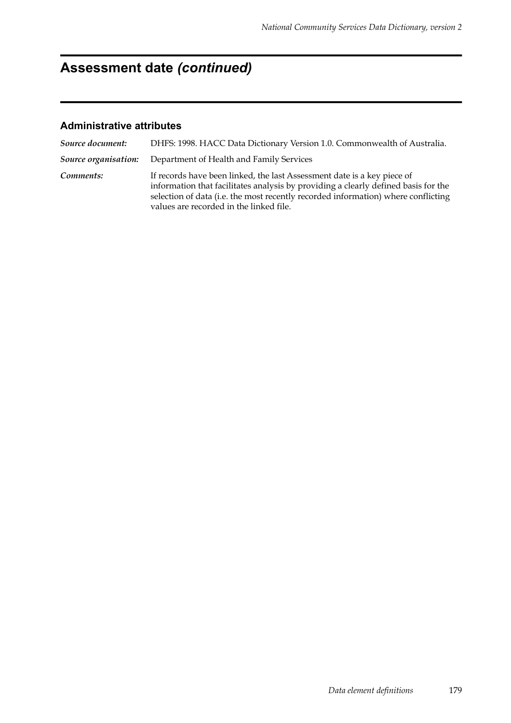# **Assessment date** *(continued)*

| Source document:     | DHFS: 1998. HACC Data Dictionary Version 1.0. Commonwealth of Australia.                                                                                                                                                                                                                      |
|----------------------|-----------------------------------------------------------------------------------------------------------------------------------------------------------------------------------------------------------------------------------------------------------------------------------------------|
| Source organisation: | Department of Health and Family Services                                                                                                                                                                                                                                                      |
| Comments:            | If records have been linked, the last Assessment date is a key piece of<br>information that facilitates analysis by providing a clearly defined basis for the<br>selection of data (i.e. the most recently recorded information) where conflicting<br>values are recorded in the linked file. |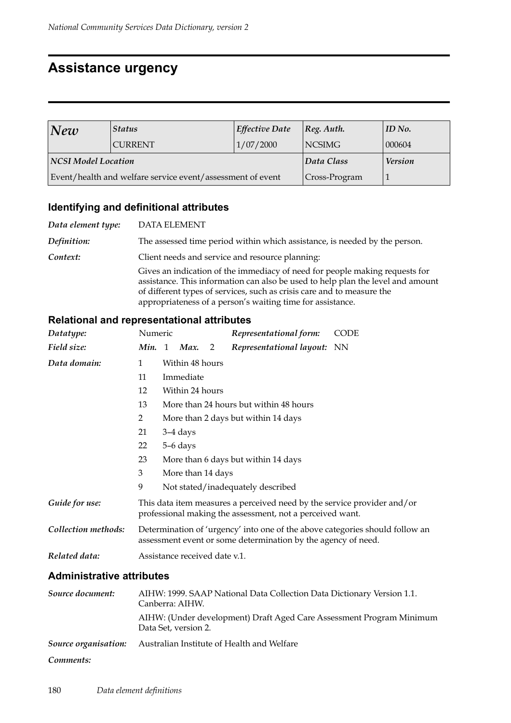## **Assistance urgency**

| $N$ ew              | <b>Status</b>                                              | <b>Effective Date</b> | $ Reg.$ Auth.  | $ID$ No. |
|---------------------|------------------------------------------------------------|-----------------------|----------------|----------|
|                     | <b>CURRENT</b>                                             | 1/07/2000             | <b>NCSIMG</b>  | 000604   |
| NCSI Model Location |                                                            | Data Class            | <b>Version</b> |          |
|                     | Event/health and welfare service event/assessment of event |                       | Cross-Program  |          |

## **Identifying and definitional attributes**

| Data element type: | <b>DATA ELEMENT</b>                                                                                                                                                                                                                                                                                    |
|--------------------|--------------------------------------------------------------------------------------------------------------------------------------------------------------------------------------------------------------------------------------------------------------------------------------------------------|
| Definition:        | The assessed time period within which assistance, is needed by the person.                                                                                                                                                                                                                             |
| Context:           | Client needs and service and resource planning:                                                                                                                                                                                                                                                        |
|                    | Gives an indication of the immediacy of need for people making requests for<br>assistance. This information can also be used to help plan the level and amount<br>of different types of services, such as crisis care and to measure the<br>appropriateness of a person's waiting time for assistance. |

## **Relational and representational attributes**

| Datatype:           | Numeric      |                                        |                               |   | Representational form:                                                                                                                        | <b>CODE</b> |  |  |
|---------------------|--------------|----------------------------------------|-------------------------------|---|-----------------------------------------------------------------------------------------------------------------------------------------------|-------------|--|--|
| Field size:         |              |                                        | Min. 1 Max.                   | 2 | Representational layout: NN                                                                                                                   |             |  |  |
| Data domain:        | $\mathbf{1}$ |                                        | Within 48 hours               |   |                                                                                                                                               |             |  |  |
|                     | 11           |                                        | Immediate                     |   |                                                                                                                                               |             |  |  |
|                     | 12           |                                        | Within 24 hours               |   |                                                                                                                                               |             |  |  |
|                     | 13           | More than 24 hours but within 48 hours |                               |   |                                                                                                                                               |             |  |  |
|                     | 2            |                                        |                               |   | More than 2 days but within 14 days                                                                                                           |             |  |  |
|                     | 21           |                                        | 3–4 days                      |   |                                                                                                                                               |             |  |  |
|                     | 22           |                                        | 5–6 days                      |   |                                                                                                                                               |             |  |  |
|                     | 23           |                                        |                               |   | More than 6 days but within 14 days                                                                                                           |             |  |  |
|                     | 3            |                                        | More than 14 days             |   |                                                                                                                                               |             |  |  |
|                     | 9            |                                        |                               |   | Not stated/inadequately described                                                                                                             |             |  |  |
| Guide for use:      |              |                                        |                               |   | This data item measures a perceived need by the service provider and/or<br>professional making the assessment, not a perceived want.          |             |  |  |
| Collection methods: |              |                                        |                               |   | Determination of 'urgency' into one of the above categories should follow an<br>assessment event or some determination by the agency of need. |             |  |  |
| Related data:       |              |                                        | Assistance received date v.1. |   |                                                                                                                                               |             |  |  |

| Source document:     | AIHW: 1999. SAAP National Data Collection Data Dictionary Version 1.1.<br>Canberra: AIHW.    |
|----------------------|----------------------------------------------------------------------------------------------|
|                      | AIHW: (Under development) Draft Aged Care Assessment Program Minimum<br>Data Set, version 2. |
| Source organisation: | Australian Institute of Health and Welfare                                                   |
| Comments:            |                                                                                              |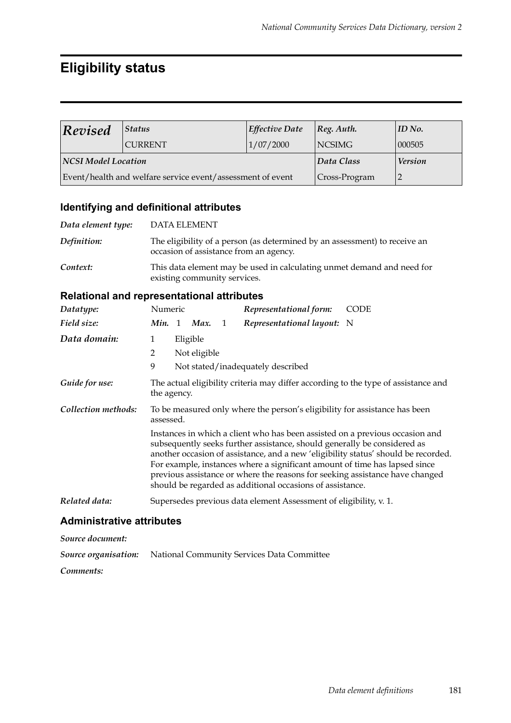## **Eligibility status**

| Revised             | <b>Status</b>                                              | <b>Effective Date</b> | $ Reg.$ Auth.  | $ID$ No. |
|---------------------|------------------------------------------------------------|-----------------------|----------------|----------|
|                     | <b>CURRENT</b>                                             | 1/07/2000             | <b>NCSIMG</b>  | 000505   |
| NCSI Model Location |                                                            | Data Class            | <b>Version</b> |          |
|                     | Event/health and welfare service event/assessment of event |                       | Cross-Program  |          |

### **Identifying and definitional attributes**

| Data element type: | DATA ELEMENT                                                                                                         |
|--------------------|----------------------------------------------------------------------------------------------------------------------|
| Definition:        | The eligibility of a person (as determined by an assessment) to receive an<br>occasion of assistance from an agency. |
| Context:           | This data element may be used in calculating unmet demand and need for<br>existing community services.               |

#### **Relational and representational attributes**

| Datatype:           | Numeric     |                          |              | Representational form:                                                                                                                                                                                                                                                                                                                                                              | <b>CODE</b>                                                                        |
|---------------------|-------------|--------------------------|--------------|-------------------------------------------------------------------------------------------------------------------------------------------------------------------------------------------------------------------------------------------------------------------------------------------------------------------------------------------------------------------------------------|------------------------------------------------------------------------------------|
| Field size:         | Min. 1 Max. |                          | $\mathbf{1}$ | Representational layout: N                                                                                                                                                                                                                                                                                                                                                          |                                                                                    |
| Data domain:        | 1<br>2<br>9 | Eligible<br>Not eligible |              | Not stated/inadequately described                                                                                                                                                                                                                                                                                                                                                   |                                                                                    |
| Guide for use:      | the agency. |                          |              |                                                                                                                                                                                                                                                                                                                                                                                     | The actual eligibility criteria may differ according to the type of assistance and |
| Collection methods: | assessed.   |                          |              | To be measured only where the person's eligibility for assistance has been                                                                                                                                                                                                                                                                                                          |                                                                                    |
|                     |             |                          |              | Instances in which a client who has been assisted on a previous occasion and<br>subsequently seeks further assistance, should generally be considered as<br>For example, instances where a significant amount of time has lapsed since<br>previous assistance or where the reasons for seeking assistance have changed<br>should be regarded as additional occasions of assistance. | another occasion of assistance, and a new 'eligibility status' should be recorded. |
| Related data:       |             |                          |              | Supersedes previous data element Assessment of eligibility, v. 1.                                                                                                                                                                                                                                                                                                                   |                                                                                    |

#### **Administrative attributes**

*Source document:*

*Source organisation:* National Community Services Data Committee

*Comments:*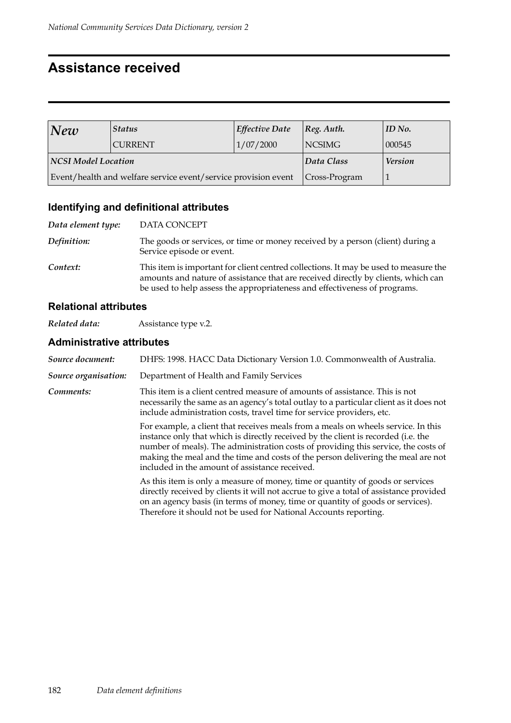## **Assistance received**

| New                 | <b>Status</b>                                                  | Effective Date    | [Reg. Author.  | $ID$ No. |
|---------------------|----------------------------------------------------------------|-------------------|----------------|----------|
|                     | <b>CURRENT</b>                                                 | 1/07/2000         | <b>NCSIMG</b>  | 000545   |
| NCSI Model Location |                                                                | Data Class        | <b>Version</b> |          |
|                     | Event/health and welfare service event/service provision event | $ Cross-Program $ |                |          |

## **Identifying and definitional attributes**

| Data element type: | DATA CONCEPT                                                                                                                                                                                                                                           |
|--------------------|--------------------------------------------------------------------------------------------------------------------------------------------------------------------------------------------------------------------------------------------------------|
| Definition:        | The goods or services, or time or money received by a person (client) during a<br>Service episode or event.                                                                                                                                            |
| Context:           | This item is important for client centred collections. It may be used to measure the<br>amounts and nature of assistance that are received directly by clients, which can<br>be used to help assess the appropriateness and effectiveness of programs. |

#### **Relational attributes**

*Related data:* Assistance type v.2.

| Source document:     | DHFS: 1998. HACC Data Dictionary Version 1.0. Commonwealth of Australia.                                                                                                                                                                                                                                                                                                                           |  |  |  |
|----------------------|----------------------------------------------------------------------------------------------------------------------------------------------------------------------------------------------------------------------------------------------------------------------------------------------------------------------------------------------------------------------------------------------------|--|--|--|
| Source organisation: | Department of Health and Family Services                                                                                                                                                                                                                                                                                                                                                           |  |  |  |
| Comments:            | This item is a client centred measure of amounts of assistance. This is not<br>necessarily the same as an agency's total outlay to a particular client as it does not<br>include administration costs, travel time for service providers, etc.                                                                                                                                                     |  |  |  |
|                      | For example, a client that receives meals from a meals on wheels service. In this<br>instance only that which is directly received by the client is recorded (i.e. the<br>number of meals). The administration costs of providing this service, the costs of<br>making the meal and the time and costs of the person delivering the meal are not<br>included in the amount of assistance received. |  |  |  |
|                      | As this item is only a measure of money, time or quantity of goods or services<br>directly received by clients it will not accrue to give a total of assistance provided<br>on an agency basis (in terms of money, time or quantity of goods or services).<br>Therefore it should not be used for National Accounts reporting.                                                                     |  |  |  |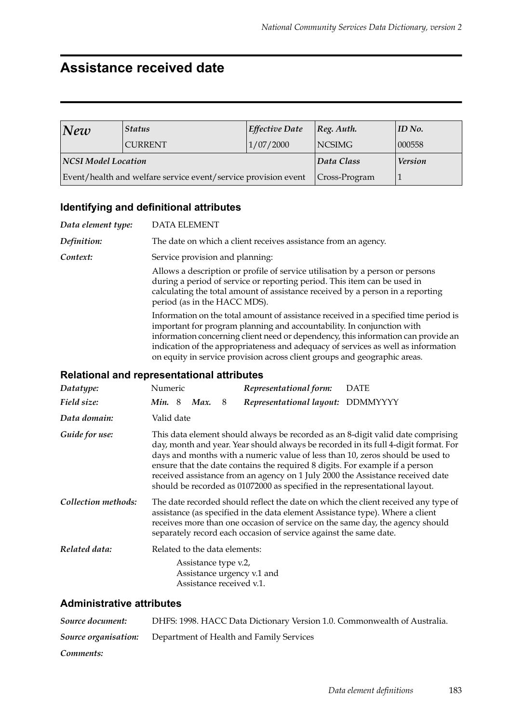## **Assistance received date**

| New                 | <b>Status</b>                                                  | Effective Date   | Reg. Author.   | $\parallel$ ID No. |
|---------------------|----------------------------------------------------------------|------------------|----------------|--------------------|
|                     | <b>CURRENT</b>                                                 | 1/07/2000        | NCSIMG         | 000558             |
| NCSI Model Location |                                                                | Data Class       | <b>Version</b> |                    |
|                     | Event/health and welfare service event/service provision event | $ Cross-Program$ |                |                    |

#### **Identifying and definitional attributes**

*Data element type:* DATA ELEMENT *Definition:* The date on which a client receives assistance from an agency. **Context:** Service provision and planning: Allows a description or profile of service utilisation by a person or persons during a period of service or reporting period. This item can be used in calculating the total amount of assistance received by a person in a reporting period (as in the HACC MDS). Information on the total amount of assistance received in a specified time period is important for program planning and accountability. In conjunction with information concerning client need or dependency, this information can provide an indication of the appropriateness and adequacy of services as well as information on equity in service provision across client groups and geographic areas.

#### **Relational and representational attributes**

| Datatype:           | Numeric       |                                                                                   |   | Representational form:                                                                                                                                      | <b>DATE</b>                                                                                                                                                                                                                                                                                                                               |
|---------------------|---------------|-----------------------------------------------------------------------------------|---|-------------------------------------------------------------------------------------------------------------------------------------------------------------|-------------------------------------------------------------------------------------------------------------------------------------------------------------------------------------------------------------------------------------------------------------------------------------------------------------------------------------------|
| Field size:         | <b>Min.</b> 8 | Max.                                                                              | 8 | Representational layout: DDMMYYYY                                                                                                                           |                                                                                                                                                                                                                                                                                                                                           |
| Data domain:        | Valid date    |                                                                                   |   |                                                                                                                                                             |                                                                                                                                                                                                                                                                                                                                           |
| Guide for use:      |               |                                                                                   |   | ensure that the date contains the required 8 digits. For example if a person<br>should be recorded as 01072000 as specified in the representational layout. | This data element should always be recorded as an 8-digit valid date comprising<br>day, month and year. Year should always be recorded in its full 4-digit format. For<br>days and months with a numeric value of less than 10, zeros should be used to<br>received assistance from an agency on 1 July 2000 the Assistance received date |
| Collection methods: |               |                                                                                   |   | assistance (as specified in the data element Assistance type). Where a client<br>separately record each occasion of service against the same date.          | The date recorded should reflect the date on which the client received any type of<br>receives more than one occasion of service on the same day, the agency should                                                                                                                                                                       |
| Related data:       |               | Related to the data elements:<br>Assistance type v.2,<br>Assistance received v.1. |   | Assistance urgency v.1 and                                                                                                                                  |                                                                                                                                                                                                                                                                                                                                           |

| Source document: | DHFS: 1998. HACC Data Dictionary Version 1.0. Commonwealth of Australia. |
|------------------|--------------------------------------------------------------------------|
|                  | <b>Source organisation:</b> Department of Health and Family Services     |
| Comments:        |                                                                          |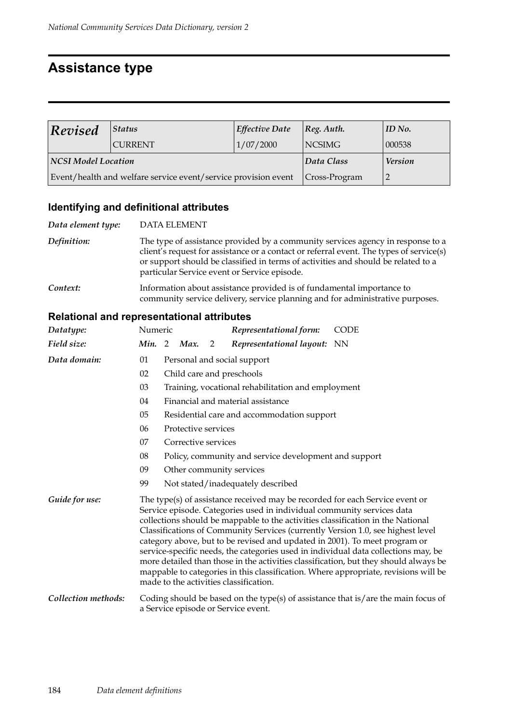## **Assistance type**

| Revised             | Status                                                         | Effective Date        | [Reg. Author.  | $ID$ No. |
|---------------------|----------------------------------------------------------------|-----------------------|----------------|----------|
|                     | <b>CURRENT</b>                                                 | 1/07/2000             | <b>NCSIMG</b>  | 000538   |
| NCSI Model Location |                                                                | Data Class            | <b>Version</b> |          |
|                     | Event/health and welfare service event/service provision event | $\vert$ Cross-Program |                |          |

## **Identifying and definitional attributes**

| Data element type: | <b>DATA ELEMENT</b>                                                                                                                                                                                                                                                                                             |
|--------------------|-----------------------------------------------------------------------------------------------------------------------------------------------------------------------------------------------------------------------------------------------------------------------------------------------------------------|
| Definition:        | The type of assistance provided by a community services agency in response to a<br>client's request for assistance or a contact or referral event. The types of service(s)<br>or support should be classified in terms of activities and should be related to a<br>particular Service event or Service episode. |
| Context:           | Information about assistance provided is of fundamental importance to<br>community service delivery, service planning and for administrative purposes.                                                                                                                                                          |

| Datatype:           | Numeric       |                             |                     |   | Representational form:                                                                                                                                                                                                                                                                                                                                                                                                                               | <b>CODE</b>                                                                                                                                                                                                                                                       |
|---------------------|---------------|-----------------------------|---------------------|---|------------------------------------------------------------------------------------------------------------------------------------------------------------------------------------------------------------------------------------------------------------------------------------------------------------------------------------------------------------------------------------------------------------------------------------------------------|-------------------------------------------------------------------------------------------------------------------------------------------------------------------------------------------------------------------------------------------------------------------|
| Field size:         | <b>Min.</b> 2 |                             | Max.                | 2 | Representational layout: NN                                                                                                                                                                                                                                                                                                                                                                                                                          |                                                                                                                                                                                                                                                                   |
| Data domain:        | 01            | Personal and social support |                     |   |                                                                                                                                                                                                                                                                                                                                                                                                                                                      |                                                                                                                                                                                                                                                                   |
|                     | 02            |                             |                     |   | Child care and preschools                                                                                                                                                                                                                                                                                                                                                                                                                            |                                                                                                                                                                                                                                                                   |
|                     | 03            |                             |                     |   | Training, vocational rehabilitation and employment                                                                                                                                                                                                                                                                                                                                                                                                   |                                                                                                                                                                                                                                                                   |
|                     | 04            |                             |                     |   | Financial and material assistance                                                                                                                                                                                                                                                                                                                                                                                                                    |                                                                                                                                                                                                                                                                   |
|                     | 05            |                             |                     |   | Residential care and accommodation support                                                                                                                                                                                                                                                                                                                                                                                                           |                                                                                                                                                                                                                                                                   |
|                     | 06            |                             | Protective services |   |                                                                                                                                                                                                                                                                                                                                                                                                                                                      |                                                                                                                                                                                                                                                                   |
|                     | 07            |                             | Corrective services |   |                                                                                                                                                                                                                                                                                                                                                                                                                                                      |                                                                                                                                                                                                                                                                   |
|                     | 08            |                             |                     |   | Policy, community and service development and support                                                                                                                                                                                                                                                                                                                                                                                                |                                                                                                                                                                                                                                                                   |
|                     | 09            |                             |                     |   | Other community services                                                                                                                                                                                                                                                                                                                                                                                                                             |                                                                                                                                                                                                                                                                   |
|                     | 99            |                             |                     |   | Not stated/inadequately described                                                                                                                                                                                                                                                                                                                                                                                                                    |                                                                                                                                                                                                                                                                   |
| Guide for use:      |               |                             |                     |   | The type(s) of assistance received may be recorded for each Service event or<br>Service episode. Categories used in individual community services data<br>collections should be mappable to the activities classification in the National<br>Classifications of Community Services (currently Version 1.0, see highest level<br>category above, but to be revised and updated in 2001). To meet program or<br>made to the activities classification. | service-specific needs, the categories used in individual data collections may, be<br>more detailed than those in the activities classification, but they should always be<br>mappable to categories in this classification. Where appropriate, revisions will be |
| Collection methods: |               |                             |                     |   | a Service episode or Service event.                                                                                                                                                                                                                                                                                                                                                                                                                  | Coding should be based on the type(s) of assistance that is/are the main focus of                                                                                                                                                                                 |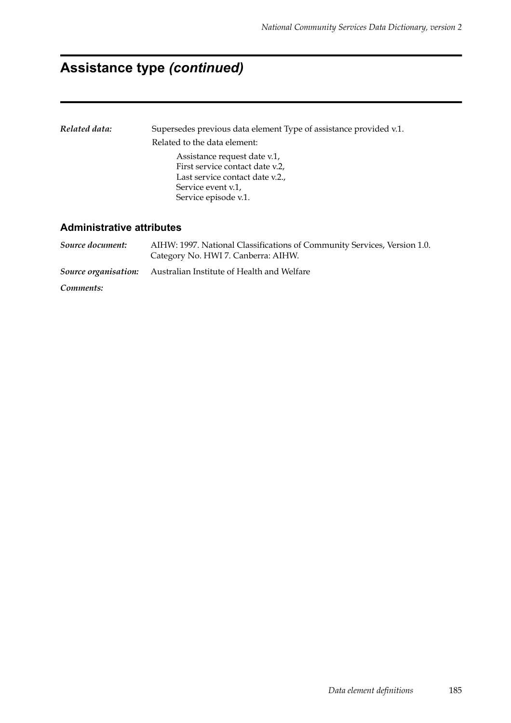## **Assistance type** *(continued)*

| Related data:                    | Supersedes previous data element Type of assistance provided v.1.                                                       |  |  |  |  |  |
|----------------------------------|-------------------------------------------------------------------------------------------------------------------------|--|--|--|--|--|
|                                  | Related to the data element:                                                                                            |  |  |  |  |  |
|                                  | Assistance request date v.1,<br>First service contact date v.2,<br>Last service contact date v.2.<br>Service event v.1. |  |  |  |  |  |
|                                  | Service episode v.1.                                                                                                    |  |  |  |  |  |
| <b>Administrative attributes</b> |                                                                                                                         |  |  |  |  |  |

*Source document:* AIHW: 1997. National Classifications of Community Services, Version 1.0. Category No. HWI 7. Canberra: AIHW. *Source organisation:* Australian Institute of Health and Welfare *Comments:*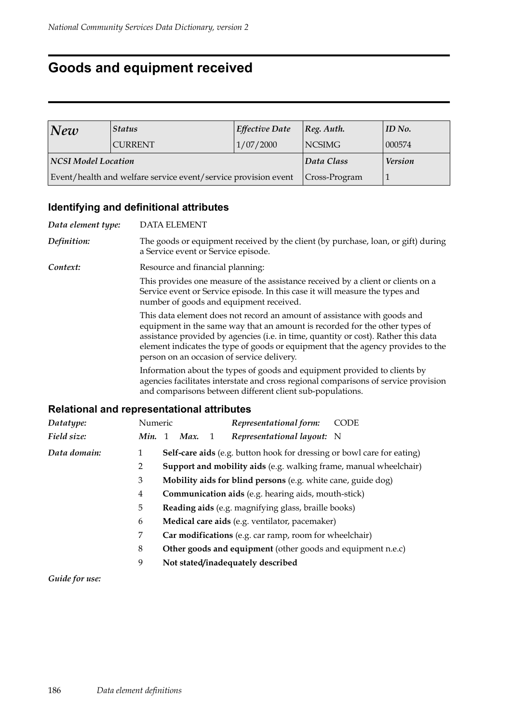## **Goods and equipment received**

| New                                                            | <b>Status</b>  | <b>Effective Date</b> | [Reg. Author.  | $ID$ No. |
|----------------------------------------------------------------|----------------|-----------------------|----------------|----------|
|                                                                | <b>CURRENT</b> | 1/07/2000             | <b>NCSIMG</b>  | 000574   |
| <b>NCSI Model Location</b>                                     |                | Data Class            | <b>Version</b> |          |
| Event/health and welfare service event/service provision event |                | $ Cross-Program $     |                |          |

## **Identifying and definitional attributes**

| Data element type: | <b>DATA ELEMENT</b>                               |                                                                                                                                        |                                                                                                                                                                                                                                                       |
|--------------------|---------------------------------------------------|----------------------------------------------------------------------------------------------------------------------------------------|-------------------------------------------------------------------------------------------------------------------------------------------------------------------------------------------------------------------------------------------------------|
| Definition:        | a Service event or Service episode.               |                                                                                                                                        | The goods or equipment received by the client (by purchase, loan, or gift) during                                                                                                                                                                     |
| Context:           | Resource and financial planning:                  |                                                                                                                                        |                                                                                                                                                                                                                                                       |
|                    | number of goods and equipment received.           | Service event or Service episode. In this case it will measure the types and                                                           | This provides one measure of the assistance received by a client or clients on a                                                                                                                                                                      |
|                    | person on an occasion of service delivery.        | This data element does not record an amount of assistance with goods and                                                               | equipment in the same way that an amount is recorded for the other types of<br>assistance provided by agencies (i.e. in time, quantity or cost). Rather this data<br>element indicates the type of goods or equipment that the agency provides to the |
|                    |                                                   | Information about the types of goods and equipment provided to clients by<br>and comparisons between different client sub-populations. | agencies facilitates interstate and cross regional comparisons of service provision                                                                                                                                                                   |
|                    | <b>Relational and representational attributes</b> |                                                                                                                                        |                                                                                                                                                                                                                                                       |
| Datatype:          | Numeric                                           | Representational form:                                                                                                                 | CODE                                                                                                                                                                                                                                                  |

| Datatype:    | Numeric        |                                                             | Representational form:<br>-CODE                                        |  |  |
|--------------|----------------|-------------------------------------------------------------|------------------------------------------------------------------------|--|--|
| Field size:  | Min.           | Max.<br>$\overline{1}$<br>$\overline{1}$                    | Representational layout: N                                             |  |  |
| Data domain: | 1              |                                                             | Self-care aids (e.g. button hook for dressing or bowl care for eating) |  |  |
|              | 2              |                                                             | Support and mobility aids (e.g. walking frame, manual wheelchair)      |  |  |
|              | 3              |                                                             | Mobility aids for blind persons (e.g. white cane, guide dog)           |  |  |
|              | $\overline{4}$ | <b>Communication aids</b> (e.g. hearing aids, mouth-stick)  |                                                                        |  |  |
|              | 5              |                                                             | Reading aids (e.g. magnifying glass, braille books)                    |  |  |
|              | 6              |                                                             | Medical care aids (e.g. ventilator, pacemaker)                         |  |  |
|              | 7              |                                                             | Car modifications (e.g. car ramp, room for wheelchair)                 |  |  |
|              | 8              | Other goods and equipment (other goods and equipment n.e.c) |                                                                        |  |  |
|              | 9              |                                                             | Not stated/inadequately described                                      |  |  |
|              |                |                                                             |                                                                        |  |  |

*Guide for use:*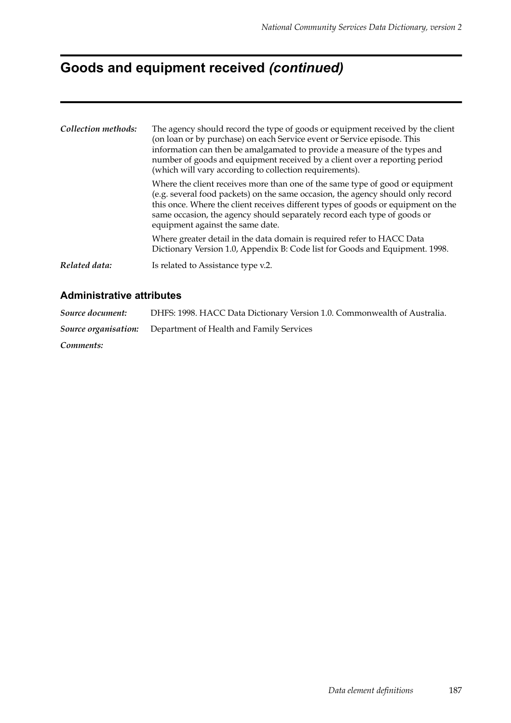# **Goods and equipment received** *(continued)*

| Collection methods: | The agency should record the type of goods or equipment received by the client<br>(on loan or by purchase) on each Service event or Service episode. This<br>information can then be amalgamated to provide a measure of the types and<br>number of goods and equipment received by a client over a reporting period<br>(which will vary according to collection requirements). |
|---------------------|---------------------------------------------------------------------------------------------------------------------------------------------------------------------------------------------------------------------------------------------------------------------------------------------------------------------------------------------------------------------------------|
|                     | Where the client receives more than one of the same type of good or equipment<br>(e.g. several food packets) on the same occasion, the agency should only record<br>this once. Where the client receives different types of goods or equipment on the<br>same occasion, the agency should separately record each type of goods or<br>equipment against the same date.           |
|                     | Where greater detail in the data domain is required refer to HACC Data<br>Dictionary Version 1.0, Appendix B: Code list for Goods and Equipment. 1998.                                                                                                                                                                                                                          |
| Related data:       | Is related to Assistance type v.2.                                                                                                                                                                                                                                                                                                                                              |

| Source document: | DHFS: 1998. HACC Data Dictionary Version 1.0. Commonwealth of Australia. |
|------------------|--------------------------------------------------------------------------|
|                  | <b>Source organisation:</b> Department of Health and Family Services     |
| Comments:        |                                                                          |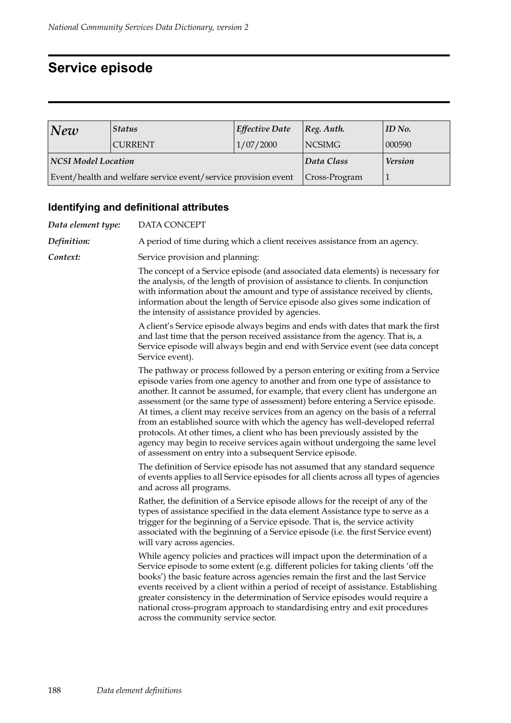## **Service episode**

| New                                                            | <b>Status</b> | Effective Date   | $ Reg.$ Auth.  | ID No. |
|----------------------------------------------------------------|---------------|------------------|----------------|--------|
|                                                                | CURRENT       | 1/07/2000        | <b>NCSIMG</b>  | 000590 |
| <b>NCSI Model Location</b>                                     |               | Data Class       | <b>Version</b> |        |
| Event/health and welfare service event/service provision event |               | $ Cross-Program$ |                |        |

## **Identifying and definitional attributes**

| DATA CONCEPT                                                                                                                                                                                                                                                                                                                                                                                                                                                                                                                                                                                                                                                                                                                        |
|-------------------------------------------------------------------------------------------------------------------------------------------------------------------------------------------------------------------------------------------------------------------------------------------------------------------------------------------------------------------------------------------------------------------------------------------------------------------------------------------------------------------------------------------------------------------------------------------------------------------------------------------------------------------------------------------------------------------------------------|
| A period of time during which a client receives assistance from an agency.                                                                                                                                                                                                                                                                                                                                                                                                                                                                                                                                                                                                                                                          |
| Service provision and planning:                                                                                                                                                                                                                                                                                                                                                                                                                                                                                                                                                                                                                                                                                                     |
| The concept of a Service episode (and associated data elements) is necessary for<br>the analysis, of the length of provision of assistance to clients. In conjunction<br>with information about the amount and type of assistance received by clients,<br>information about the length of Service episode also gives some indication of<br>the intensity of assistance provided by agencies.                                                                                                                                                                                                                                                                                                                                        |
| A client's Service episode always begins and ends with dates that mark the first<br>and last time that the person received assistance from the agency. That is, a<br>Service episode will always begin and end with Service event (see data concept<br>Service event).                                                                                                                                                                                                                                                                                                                                                                                                                                                              |
| The pathway or process followed by a person entering or exiting from a Service<br>episode varies from one agency to another and from one type of assistance to<br>another. It cannot be assumed, for example, that every client has undergone an<br>assessment (or the same type of assessment) before entering a Service episode.<br>At times, a client may receive services from an agency on the basis of a referral<br>from an established source with which the agency has well-developed referral<br>protocols. At other times, a client who has been previously assisted by the<br>agency may begin to receive services again without undergoing the same level<br>of assessment on entry into a subsequent Service episode. |
| The definition of Service episode has not assumed that any standard sequence<br>of events applies to all Service episodes for all clients across all types of agencies<br>and across all programs.                                                                                                                                                                                                                                                                                                                                                                                                                                                                                                                                  |
| Rather, the definition of a Service episode allows for the receipt of any of the<br>types of assistance specified in the data element Assistance type to serve as a<br>trigger for the beginning of a Service episode. That is, the service activity<br>associated with the beginning of a Service episode (i.e. the first Service event)<br>will vary across agencies.                                                                                                                                                                                                                                                                                                                                                             |
| While agency policies and practices will impact upon the determination of a<br>Service episode to some extent (e.g. different policies for taking clients 'off the<br>books') the basic feature across agencies remain the first and the last Service<br>events received by a client within a period of receipt of assistance. Establishing<br>greater consistency in the determination of Service episodes would require a<br>national cross-program approach to standardising entry and exit procedures<br>across the community service sector.                                                                                                                                                                                   |
|                                                                                                                                                                                                                                                                                                                                                                                                                                                                                                                                                                                                                                                                                                                                     |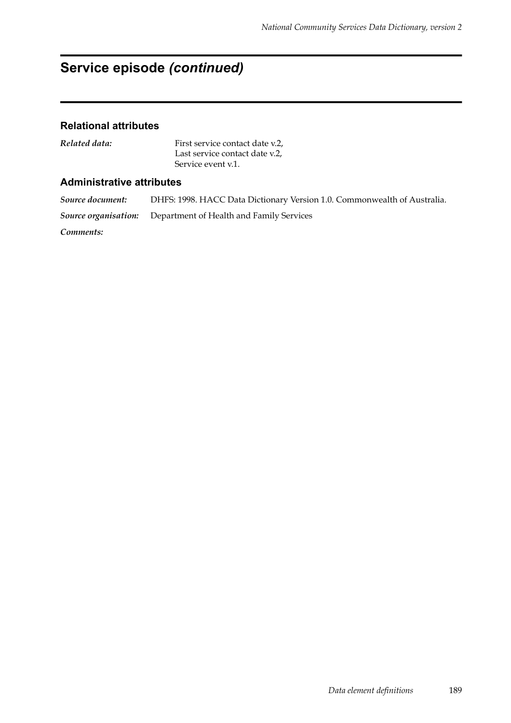## **Service episode** *(continued)*

#### **Relational attributes**

*Related data:* First service contact date v.2, Last service contact date v.2, Service event v.1.

#### **Administrative attributes**

*Source document:* DHFS: 1998. HACC Data Dictionary Version 1.0. Commonwealth of Australia. *Source organisation:* Department of Health and Family Services *Comments:*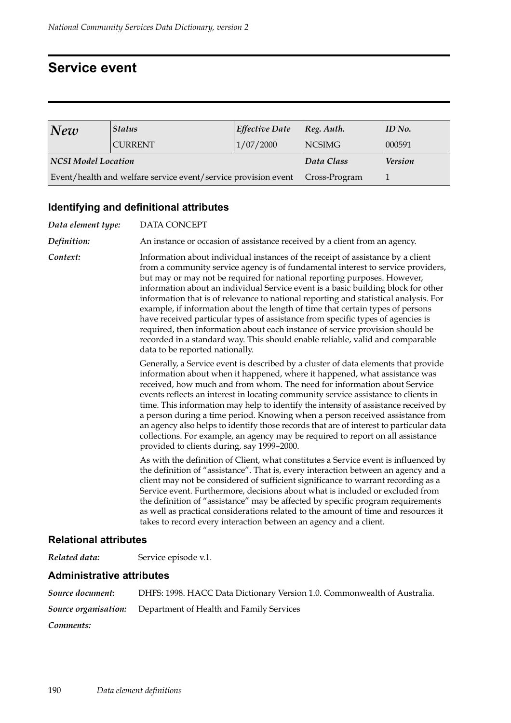## **Service event**

| New                                                            | <b>Status</b>  | <b>Effective Date</b> | $\log$ . Auth. | ID No. |
|----------------------------------------------------------------|----------------|-----------------------|----------------|--------|
|                                                                | <b>CURRENT</b> | 1/07/2000             | <b>NCSIMG</b>  | 000591 |
| NCSI Model Location                                            |                | Data Class            | <b>Version</b> |        |
| Event/health and welfare service event/service provision event |                | $\vert$ Cross-Program |                |        |

## **Identifying and definitional attributes**

| Data element type: | DATA CONCEPT                                                                                                                                                                                                                                                                                                                                                                                                                                                                                                                                                                                                                                                                                                                                                                                           |  |
|--------------------|--------------------------------------------------------------------------------------------------------------------------------------------------------------------------------------------------------------------------------------------------------------------------------------------------------------------------------------------------------------------------------------------------------------------------------------------------------------------------------------------------------------------------------------------------------------------------------------------------------------------------------------------------------------------------------------------------------------------------------------------------------------------------------------------------------|--|
| Definition:        | An instance or occasion of assistance received by a client from an agency.                                                                                                                                                                                                                                                                                                                                                                                                                                                                                                                                                                                                                                                                                                                             |  |
| Context:           | Information about individual instances of the receipt of assistance by a client<br>from a community service agency is of fundamental interest to service providers,<br>but may or may not be required for national reporting purposes. However,<br>information about an individual Service event is a basic building block for other<br>information that is of relevance to national reporting and statistical analysis. For<br>example, if information about the length of time that certain types of persons<br>have received particular types of assistance from specific types of agencies is<br>required, then information about each instance of service provision should be<br>recorded in a standard way. This should enable reliable, valid and comparable<br>data to be reported nationally. |  |
|                    | Generally, a Service event is described by a cluster of data elements that provide<br>information about when it happened, where it happened, what assistance was<br>received, how much and from whom. The need for information about Service<br>events reflects an interest in locating community service assistance to clients in<br>time. This information may help to identify the intensity of assistance received by<br>a person during a time period. Knowing when a person received assistance from<br>an agency also helps to identify those records that are of interest to particular data<br>collections. For example, an agency may be required to report on all assistance<br>provided to clients during, say 1999-2000.                                                                  |  |
|                    | As with the definition of Client, what constitutes a Service event is influenced by<br>the definition of "assistance". That is, every interaction between an agency and a<br>client may not be considered of sufficient significance to warrant recording as a<br>Service event. Furthermore, decisions about what is included or excluded from<br>the definition of "assistance" may be affected by specific program requirements<br>as well as practical considerations related to the amount of time and resources it<br>takes to record every interaction between an agency and a client.                                                                                                                                                                                                          |  |

#### **Relational attributes**

*Related data:* Service episode v.1.

| Source document: | DHFS: 1998. HACC Data Dictionary Version 1.0. Commonwealth of Australia. |
|------------------|--------------------------------------------------------------------------|
|                  | <b>Source organisation:</b> Department of Health and Family Services     |
| Comments:        |                                                                          |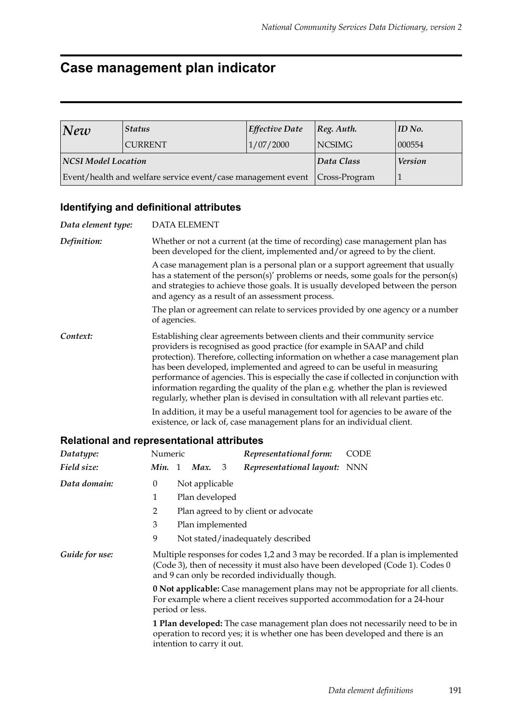## **Case management plan indicator**

| New                                                          | <i><b>Status</b></i> | Effective Date | $ Reg.$ Auth.  | ID No. |
|--------------------------------------------------------------|----------------------|----------------|----------------|--------|
|                                                              | <b>CURRENT</b>       | 1/07/2000      | <b>NCSIMG</b>  | 000554 |
| NCSI Model Location                                          |                      | Data Class     | <b>Version</b> |        |
| Event/health and welfare service event/case management event |                      | Cross-Program  |                |        |

## **Identifying and definitional attributes**

| Data element type: | <b>DATA ELEMENT</b>                                                                                                                                                                                                                                                                                                                                                                                                                                                                                                                                                                   |
|--------------------|---------------------------------------------------------------------------------------------------------------------------------------------------------------------------------------------------------------------------------------------------------------------------------------------------------------------------------------------------------------------------------------------------------------------------------------------------------------------------------------------------------------------------------------------------------------------------------------|
| Definition:        | Whether or not a current (at the time of recording) case management plan has<br>been developed for the client, implemented and/or agreed to by the client.                                                                                                                                                                                                                                                                                                                                                                                                                            |
|                    | A case management plan is a personal plan or a support agreement that usually<br>has a statement of the person(s)' problems or needs, some goals for the person(s)<br>and strategies to achieve those goals. It is usually developed between the person<br>and agency as a result of an assessment process.                                                                                                                                                                                                                                                                           |
|                    | The plan or agreement can relate to services provided by one agency or a number<br>of agencies.                                                                                                                                                                                                                                                                                                                                                                                                                                                                                       |
| Context:           | Establishing clear agreements between clients and their community service<br>providers is recognised as good practice (for example in SAAP and child<br>protection). Therefore, collecting information on whether a case management plan<br>has been developed, implemented and agreed to can be useful in measuring<br>performance of agencies. This is especially the case if collected in conjunction with<br>information regarding the quality of the plan e.g. whether the plan is reviewed<br>regularly, whether plan is devised in consultation with all relevant parties etc. |
|                    | In addition, it may be a useful management tool for agencies to be aware of the<br>existence, or lack of, case management plans for an individual client.                                                                                                                                                                                                                                                                                                                                                                                                                             |

| Datatype:      | Numeric                                                                                                                                                                                                               |                                      |                            |   | Representational form:                                                        | CODE                                                                          |  |  |
|----------------|-----------------------------------------------------------------------------------------------------------------------------------------------------------------------------------------------------------------------|--------------------------------------|----------------------------|---|-------------------------------------------------------------------------------|-------------------------------------------------------------------------------|--|--|
| Field size:    | Min. 1                                                                                                                                                                                                                |                                      | Max.                       | 3 | Representational layout: NNN                                                  |                                                                               |  |  |
| Data domain:   | $\theta$                                                                                                                                                                                                              |                                      | Not applicable             |   |                                                                               |                                                                               |  |  |
|                | 1                                                                                                                                                                                                                     |                                      | Plan developed             |   |                                                                               |                                                                               |  |  |
|                | 2                                                                                                                                                                                                                     | Plan agreed to by client or advocate |                            |   |                                                                               |                                                                               |  |  |
|                | 3                                                                                                                                                                                                                     |                                      | Plan implemented           |   |                                                                               |                                                                               |  |  |
|                | 9                                                                                                                                                                                                                     |                                      |                            |   | Not stated/inadequately described                                             |                                                                               |  |  |
| Guide for use: | Multiple responses for codes 1,2 and 3 may be recorded. If a plan is implemented<br>(Code 3), then of necessity it must also have been developed (Code 1). Codes 0<br>and 9 can only be recorded individually though. |                                      |                            |   |                                                                               |                                                                               |  |  |
|                | <b>0 Not applicable:</b> Case management plans may not be appropriate for all clients.<br>For example where a client receives supported accommodation for a 24-hour<br>period or less.                                |                                      |                            |   |                                                                               |                                                                               |  |  |
|                |                                                                                                                                                                                                                       |                                      | intention to carry it out. |   | operation to record yes; it is whether one has been developed and there is an | 1 Plan developed: The case management plan does not necessarily need to be in |  |  |
|                |                                                                                                                                                                                                                       |                                      |                            |   |                                                                               |                                                                               |  |  |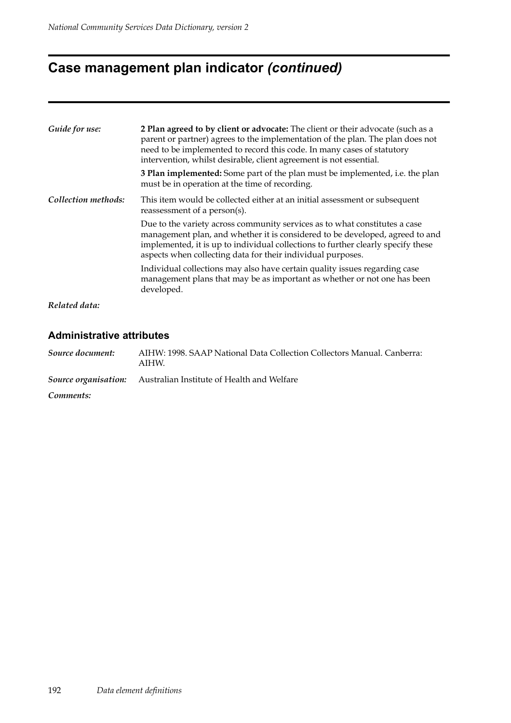# **Case management plan indicator** *(continued)*

| Guide for use:      | 2 Plan agreed to by client or advocate: The client or their advocate (such as a<br>parent or partner) agrees to the implementation of the plan. The plan does not<br>need to be implemented to record this code. In many cases of statutory<br>intervention, whilst desirable, client agreement is not essential. |  |  |  |  |  |
|---------------------|-------------------------------------------------------------------------------------------------------------------------------------------------------------------------------------------------------------------------------------------------------------------------------------------------------------------|--|--|--|--|--|
|                     | <b>3 Plan implemented:</b> Some part of the plan must be implemented, i.e. the plan<br>must be in operation at the time of recording.                                                                                                                                                                             |  |  |  |  |  |
| Collection methods: | This item would be collected either at an initial assessment or subsequent<br>reassessment of a person(s).                                                                                                                                                                                                        |  |  |  |  |  |
|                     | Due to the variety across community services as to what constitutes a case<br>management plan, and whether it is considered to be developed, agreed to and<br>implemented, it is up to individual collections to further clearly specify these<br>aspects when collecting data for their individual purposes.     |  |  |  |  |  |
|                     | Individual collections may also have certain quality issues regarding case<br>management plans that may be as important as whether or not one has been<br>developed.                                                                                                                                              |  |  |  |  |  |
| Related data:       |                                                                                                                                                                                                                                                                                                                   |  |  |  |  |  |

| Source document: | AIHW: 1998. SAAP National Data Collection Collectors Manual. Canberra:<br>AIHW. |
|------------------|---------------------------------------------------------------------------------|
|                  | <b>Source organisation:</b> Australian Institute of Health and Welfare          |
| Comments:        |                                                                                 |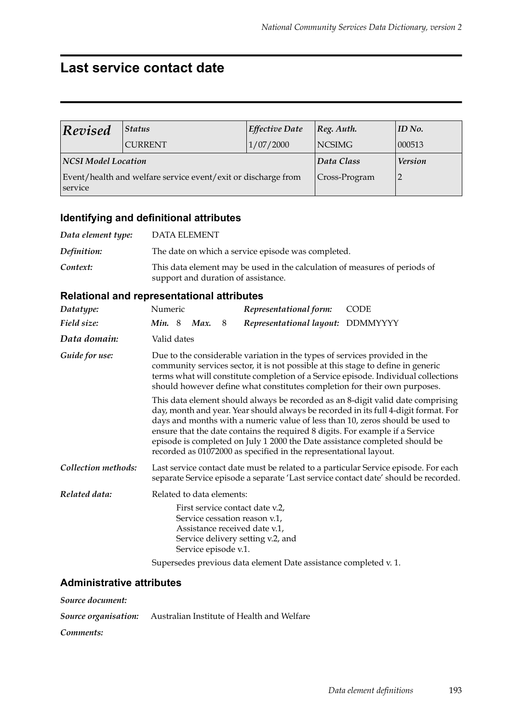## **Last service contact date**

| Revised             | <b>Status</b>                                                 | <b>Effective Date</b> | $ Reg.$ Auth.  | $ID$ No. |
|---------------------|---------------------------------------------------------------|-----------------------|----------------|----------|
|                     | <b>CURRENT</b>                                                | 1/07/2000             | NCSIMG         | 000513   |
| NCSI Model Location |                                                               | Data Class            | <b>Version</b> |          |
| service             | Event/health and welfare service event/exit or discharge from | Cross-Program         |                |          |

### **Identifying and definitional attributes**

| Data element type: | DATA ELEMENT                                                                                                      |
|--------------------|-------------------------------------------------------------------------------------------------------------------|
| Definition:        | The date on which a service episode was completed.                                                                |
| Context:           | This data element may be used in the calculation of measures of periods of<br>support and duration of assistance. |

## **Relational and representational attributes**

| Datatype:           | Numeric                                                                                                                                                                                                                                                                                                                                                                                                                                                                                      |  |                           |   | Representational form:                                                                                                                 | <b>CODE</b>                                                                                                                                                                |  |
|---------------------|----------------------------------------------------------------------------------------------------------------------------------------------------------------------------------------------------------------------------------------------------------------------------------------------------------------------------------------------------------------------------------------------------------------------------------------------------------------------------------------------|--|---------------------------|---|----------------------------------------------------------------------------------------------------------------------------------------|----------------------------------------------------------------------------------------------------------------------------------------------------------------------------|--|
| Field size:         | <b>Min.</b> 8                                                                                                                                                                                                                                                                                                                                                                                                                                                                                |  | Max.                      | 8 | Representational layout: DDMMYYYY                                                                                                      |                                                                                                                                                                            |  |
| Data domain:        | Valid dates                                                                                                                                                                                                                                                                                                                                                                                                                                                                                  |  |                           |   |                                                                                                                                        |                                                                                                                                                                            |  |
| Guide for use:      | Due to the considerable variation in the types of services provided in the<br>community services sector, it is not possible at this stage to define in generic<br>terms what will constitute completion of a Service episode. Individual collections<br>should however define what constitutes completion for their own purposes.                                                                                                                                                            |  |                           |   |                                                                                                                                        |                                                                                                                                                                            |  |
|                     | This data element should always be recorded as an 8-digit valid date comprising<br>day, month and year. Year should always be recorded in its full 4-digit format. For<br>days and months with a numeric value of less than 10, zeros should be used to<br>ensure that the date contains the required 8 digits. For example if a Service<br>episode is completed on July 1 2000 the Date assistance completed should be<br>recorded as 01072000 as specified in the representational layout. |  |                           |   |                                                                                                                                        |                                                                                                                                                                            |  |
| Collection methods: |                                                                                                                                                                                                                                                                                                                                                                                                                                                                                              |  |                           |   |                                                                                                                                        | Last service contact date must be related to a particular Service episode. For each<br>separate Service episode a separate 'Last service contact date' should be recorded. |  |
| Related data:       |                                                                                                                                                                                                                                                                                                                                                                                                                                                                                              |  | Related to data elements: |   |                                                                                                                                        |                                                                                                                                                                            |  |
|                     |                                                                                                                                                                                                                                                                                                                                                                                                                                                                                              |  | Service episode v.1.      |   | First service contact date v.2,<br>Service cessation reason v.1,<br>Assistance received date v.1,<br>Service delivery setting v.2, and |                                                                                                                                                                            |  |

Supersedes previous data element Date assistance completed v. 1.

#### **Administrative attributes**

*Source document: Source organisation:* Australian Institute of Health and Welfare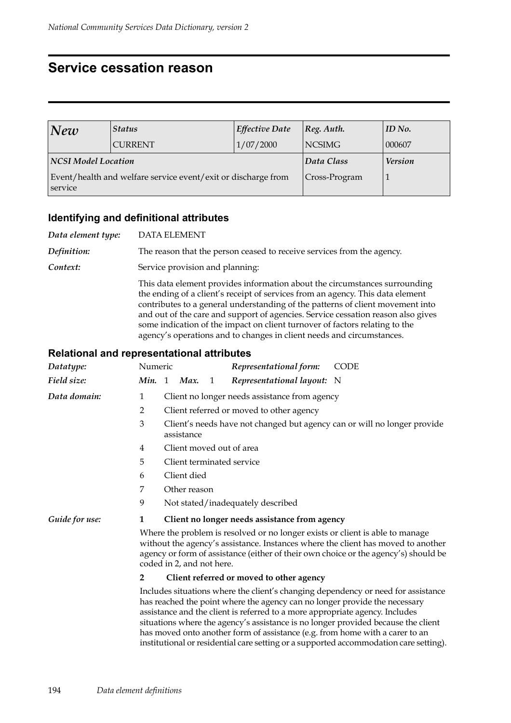## **Service cessation reason**

| New                        | <b>Status</b>                                                 | <b>Effective Date</b> | Reg. Auth.     | ID No. |  |
|----------------------------|---------------------------------------------------------------|-----------------------|----------------|--------|--|
|                            | <b>CURRENT</b>                                                | 1/07/2000             | <b>NCSIMG</b>  | 000607 |  |
| <b>NCSI Model Location</b> |                                                               | Data Class            | <b>Version</b> |        |  |
| service                    | Event/health and welfare service event/exit or discharge from | Cross-Program         |                |        |  |

#### **Identifying and definitional attributes**

*Data element type:* DATA ELEMENT *Definition:* The reason that the person ceased to receive services from the agency. **Context:** Service provision and planning: This data element provides information about the circumstances surrounding the ending of a client's receipt of services from an agency. This data element contributes to a general understanding of the patterns of client movement into and out of the care and support of agencies. Service cessation reason also gives some indication of the impact on client turnover of factors relating to the agency's operations and to changes in client needs and circumstances.

| Datatype:      | Numeric                                                                                                                                                                                                                                                                                                                                                                                                                                                                                                       |                                               |                                                                                        |   | Representational form:                        | <b>CODE</b> |  |  |  |
|----------------|---------------------------------------------------------------------------------------------------------------------------------------------------------------------------------------------------------------------------------------------------------------------------------------------------------------------------------------------------------------------------------------------------------------------------------------------------------------------------------------------------------------|-----------------------------------------------|----------------------------------------------------------------------------------------|---|-----------------------------------------------|-------------|--|--|--|
| Field size:    | Min.                                                                                                                                                                                                                                                                                                                                                                                                                                                                                                          | -1                                            | Max.                                                                                   | 1 | Representational layout: N                    |             |  |  |  |
| Data domain:   | $\mathbf{1}$                                                                                                                                                                                                                                                                                                                                                                                                                                                                                                  | Client no longer needs assistance from agency |                                                                                        |   |                                               |             |  |  |  |
|                | $\overline{2}$                                                                                                                                                                                                                                                                                                                                                                                                                                                                                                | Client referred or moved to other agency      |                                                                                        |   |                                               |             |  |  |  |
|                | 3                                                                                                                                                                                                                                                                                                                                                                                                                                                                                                             |                                               | Client's needs have not changed but agency can or will no longer provide<br>assistance |   |                                               |             |  |  |  |
|                | 4                                                                                                                                                                                                                                                                                                                                                                                                                                                                                                             | Client moved out of area                      |                                                                                        |   |                                               |             |  |  |  |
|                | 5                                                                                                                                                                                                                                                                                                                                                                                                                                                                                                             |                                               |                                                                                        |   | Client terminated service                     |             |  |  |  |
|                | 6                                                                                                                                                                                                                                                                                                                                                                                                                                                                                                             | Client died                                   |                                                                                        |   |                                               |             |  |  |  |
|                | 7                                                                                                                                                                                                                                                                                                                                                                                                                                                                                                             | Other reason                                  |                                                                                        |   |                                               |             |  |  |  |
|                | 9                                                                                                                                                                                                                                                                                                                                                                                                                                                                                                             | Not stated/inadequately described             |                                                                                        |   |                                               |             |  |  |  |
| Guide for use: | 1                                                                                                                                                                                                                                                                                                                                                                                                                                                                                                             |                                               |                                                                                        |   | Client no longer needs assistance from agency |             |  |  |  |
|                | Where the problem is resolved or no longer exists or client is able to manage<br>without the agency's assistance. Instances where the client has moved to another<br>agency or form of assistance (either of their own choice or the agency's) should be<br>coded in 2, and not here.                                                                                                                                                                                                                         |                                               |                                                                                        |   |                                               |             |  |  |  |
|                | $\mathbf{2}$                                                                                                                                                                                                                                                                                                                                                                                                                                                                                                  |                                               |                                                                                        |   | Client referred or moved to other agency      |             |  |  |  |
|                | Includes situations where the client's changing dependency or need for assistance<br>has reached the point where the agency can no longer provide the necessary<br>assistance and the client is referred to a more appropriate agency. Includes<br>situations where the agency's assistance is no longer provided because the client<br>has moved onto another form of assistance (e.g. from home with a carer to an<br>institutional or residential care setting or a supported accommodation care setting). |                                               |                                                                                        |   |                                               |             |  |  |  |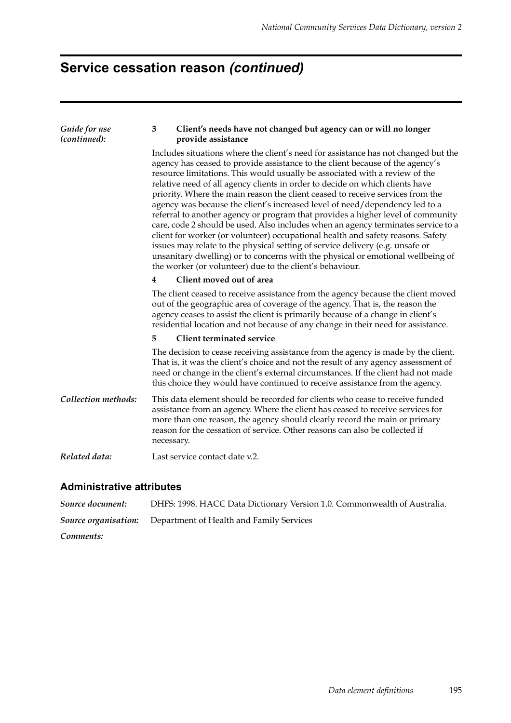# **Service cessation reason** *(continued)*

| Guide for use<br>(continued): | Client's needs have not changed but agency can or will no longer<br>3<br>provide assistance                                                                                                                                                                                                                                                                                                                                                                                                                                                                                                                                                                                                                                                                                                                                                                                                                                                                                                    |  |  |  |  |  |  |  |
|-------------------------------|------------------------------------------------------------------------------------------------------------------------------------------------------------------------------------------------------------------------------------------------------------------------------------------------------------------------------------------------------------------------------------------------------------------------------------------------------------------------------------------------------------------------------------------------------------------------------------------------------------------------------------------------------------------------------------------------------------------------------------------------------------------------------------------------------------------------------------------------------------------------------------------------------------------------------------------------------------------------------------------------|--|--|--|--|--|--|--|
|                               | Includes situations where the client's need for assistance has not changed but the<br>agency has ceased to provide assistance to the client because of the agency's<br>resource limitations. This would usually be associated with a review of the<br>relative need of all agency clients in order to decide on which clients have<br>priority. Where the main reason the client ceased to receive services from the<br>agency was because the client's increased level of need/dependency led to a<br>referral to another agency or program that provides a higher level of community<br>care, code 2 should be used. Also includes when an agency terminates service to a<br>client for worker (or volunteer) occupational health and safety reasons. Safety<br>issues may relate to the physical setting of service delivery (e.g. unsafe or<br>unsanitary dwelling) or to concerns with the physical or emotional wellbeing of<br>the worker (or volunteer) due to the client's behaviour. |  |  |  |  |  |  |  |
|                               | Client moved out of area<br>4                                                                                                                                                                                                                                                                                                                                                                                                                                                                                                                                                                                                                                                                                                                                                                                                                                                                                                                                                                  |  |  |  |  |  |  |  |
|                               | The client ceased to receive assistance from the agency because the client moved<br>out of the geographic area of coverage of the agency. That is, the reason the<br>agency ceases to assist the client is primarily because of a change in client's<br>residential location and not because of any change in their need for assistance.                                                                                                                                                                                                                                                                                                                                                                                                                                                                                                                                                                                                                                                       |  |  |  |  |  |  |  |
|                               | <b>Client terminated service</b><br>5.                                                                                                                                                                                                                                                                                                                                                                                                                                                                                                                                                                                                                                                                                                                                                                                                                                                                                                                                                         |  |  |  |  |  |  |  |
|                               | The decision to cease receiving assistance from the agency is made by the client.<br>That is, it was the client's choice and not the result of any agency assessment of<br>need or change in the client's external circumstances. If the client had not made<br>this choice they would have continued to receive assistance from the agency.                                                                                                                                                                                                                                                                                                                                                                                                                                                                                                                                                                                                                                                   |  |  |  |  |  |  |  |
| Collection methods:           | This data element should be recorded for clients who cease to receive funded<br>assistance from an agency. Where the client has ceased to receive services for<br>more than one reason, the agency should clearly record the main or primary<br>reason for the cessation of service. Other reasons can also be collected if<br>necessary.                                                                                                                                                                                                                                                                                                                                                                                                                                                                                                                                                                                                                                                      |  |  |  |  |  |  |  |
| Related data:                 | Last service contact date v.2.                                                                                                                                                                                                                                                                                                                                                                                                                                                                                                                                                                                                                                                                                                                                                                                                                                                                                                                                                                 |  |  |  |  |  |  |  |
|                               |                                                                                                                                                                                                                                                                                                                                                                                                                                                                                                                                                                                                                                                                                                                                                                                                                                                                                                                                                                                                |  |  |  |  |  |  |  |

| Source document: | DHFS: 1998. HACC Data Dictionary Version 1.0. Commonwealth of Australia. |
|------------------|--------------------------------------------------------------------------|
|                  | <b>Source organisation:</b> Department of Health and Family Services     |
| Comments:        |                                                                          |